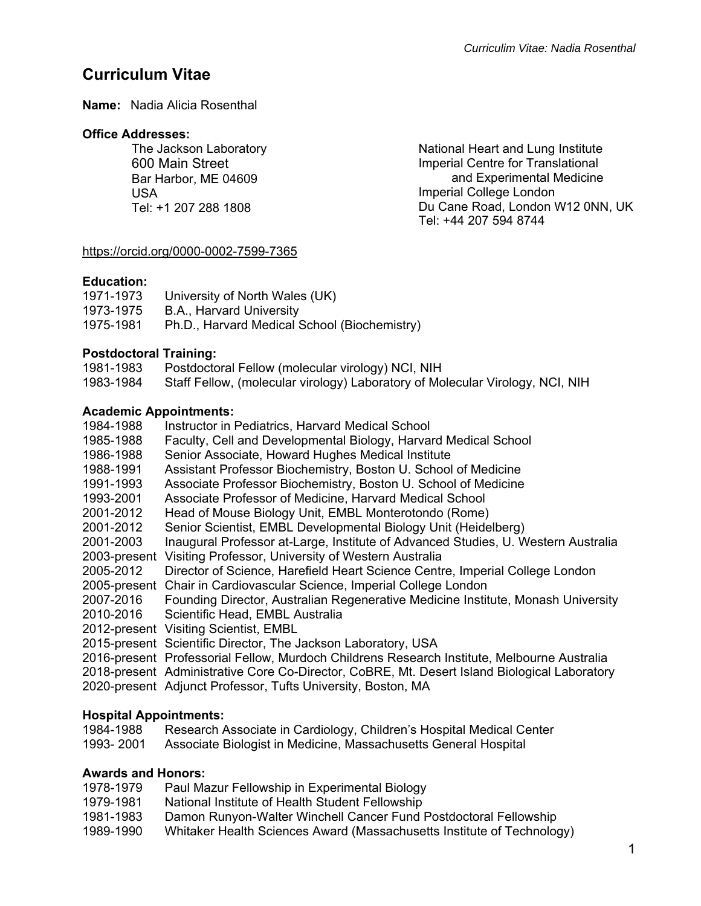# **Curriculum Vitae**

**Name:** Nadia Alicia Rosenthal

### **Office Addresses:**

The Jackson Laboratory 600 Main Street Bar Harbor, ME 04609 USA Tel: +1 207 288 1808

National Heart and Lung Institute Imperial Centre for Translational and Experimental Medicine Imperial College London Du Cane Road, London W12 0NN, UK Tel: +44 207 594 8744

# https://orcid.org/0000-0002-7599-7365

# **Education:**

| 1971-1973 | University of North Wales (UK)               |
|-----------|----------------------------------------------|
| 1973-1975 | B.A., Harvard University                     |
| 1975-1981 | Ph.D., Harvard Medical School (Biochemistry) |

# **Postdoctoral Training:**

| 1981-1983 | Postdoctoral Fellow (molecular virology) NCI, NIH                             |
|-----------|-------------------------------------------------------------------------------|
| 1983-1984 | Staff Fellow, (molecular virology) Laboratory of Molecular Virology, NCI, NIH |

# **Academic Appointments:**

| 1984-1988 | Instructor in Pediatrics, Harvard Medical School                                             |
|-----------|----------------------------------------------------------------------------------------------|
| 1985-1988 | Faculty, Cell and Developmental Biology, Harvard Medical School                              |
| 1986-1988 | Senior Associate, Howard Hughes Medical Institute                                            |
| 1988-1991 | Assistant Professor Biochemistry, Boston U. School of Medicine                               |
| 1991-1993 | Associate Professor Biochemistry, Boston U. School of Medicine                               |
| 1993-2001 | Associate Professor of Medicine, Harvard Medical School                                      |
| 2001-2012 | Head of Mouse Biology Unit, EMBL Monterotondo (Rome)                                         |
| 2001-2012 | Senior Scientist, EMBL Developmental Biology Unit (Heidelberg)                               |
| 2001-2003 | Inaugural Professor at-Large, Institute of Advanced Studies, U. Western Australia            |
|           | 2003-present Visiting Professor, University of Western Australia                             |
| 2005-2012 | Director of Science, Harefield Heart Science Centre, Imperial College London                 |
|           | 2005-present Chair in Cardiovascular Science, Imperial College London                        |
| 2007-2016 | Founding Director, Australian Regenerative Medicine Institute, Monash University             |
| 2010-2016 | Scientific Head, EMBL Australia                                                              |
|           | 2012-present Visiting Scientist, EMBL                                                        |
|           | 2015-present Scientific Director, The Jackson Laboratory, USA                                |
|           | 2016-present Professorial Fellow, Murdoch Childrens Research Institute, Melbourne Australia  |
|           | 2018-present Administrative Core Co-Director, CoBRE, Mt. Desert Island Biological Laboratory |
|           | 2020-present Adjunct Professor, Tufts University, Boston, MA                                 |

# **Hospital Appointments:**

| 1984-1988 | Research Associate in Cardiology, Children's Hospital Medical Center |
|-----------|----------------------------------------------------------------------|
| 1993-2001 | Associate Biologist in Medicine, Massachusetts General Hospital      |

# **Awards and Honors:**

- 1978-1979 Paul Mazur Fellowship in Experimental Biology<br>1979-1981 National Institute of Health Student Fellowship
- National Institute of Health Student Fellowship
- 1981-1983 Damon Runyon-Walter Winchell Cancer Fund Postdoctoral Fellowship
- 1989-1990 Whitaker Health Sciences Award (Massachusetts Institute of Technology)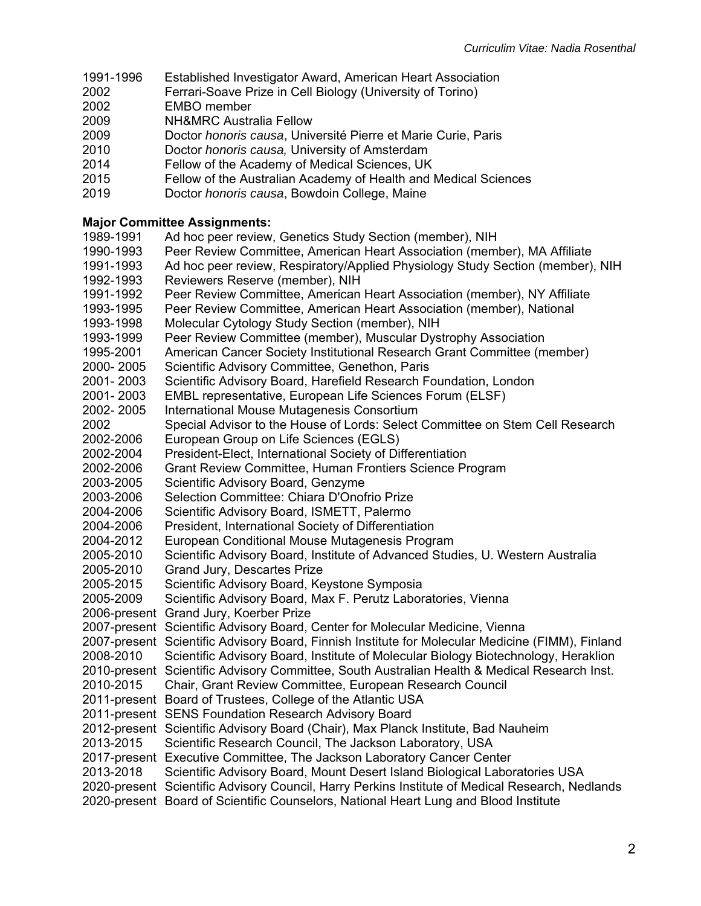- 1991-1996 Established Investigator Award, American Heart Association
- 2002 Ferrari-Soave Prize in Cell Biology (University of Torino)
- 2002 EMBO member
- 2009 NH&MRC Australia Fellow
- 2009 Doctor *honoris causa*, Université Pierre et Marie Curie, Paris
- 2010 Doctor *honoris causa,* University of Amsterdam
- 2014 Fellow of the Academy of Medical Sciences, UK
- 2015 Fellow of the Australian Academy of Health and Medical Sciences
- 2019 Doctor *honoris causa*, Bowdoin College, Maine

## **Major Committee Assignments:**

- 1989-1991 Ad hoc peer review, Genetics Study Section (member), NIH
- 1990-1993 Peer Review Committee, American Heart Association (member), MA Affiliate
- 1991-1993 Ad hoc peer review, Respiratory/Applied Physiology Study Section (member), NIH
- 1992-1993 Reviewers Reserve (member), NIH
- 1991-1992 Peer Review Committee, American Heart Association (member), NY Affiliate
- 1993-1995 Peer Review Committee, American Heart Association (member), National
- 1993-1998 Molecular Cytology Study Section (member), NIH
- 1993-1999 Peer Review Committee (member), Muscular Dystrophy Association
- 1995-2001 American Cancer Society Institutional Research Grant Committee (member)
- 2000- 2005 Scientific Advisory Committee, Genethon, Paris
- 2001- 2003 Scientific Advisory Board, Harefield Research Foundation, London
- 2001- 2003 EMBL representative, European Life Sciences Forum (ELSF)
- 2002- 2005 International Mouse Mutagenesis Consortium
- 2002 Special Advisor to the House of Lords: Select Committee on Stem Cell Research
- 2002-2006 European Group on Life Sciences (EGLS)
- 2002-2004 President-Elect, International Society of Differentiation
- 2002-2006 Grant Review Committee, Human Frontiers Science Program
- 2003-2005 Scientific Advisory Board, Genzyme
- 2003-2006 Selection Committee: Chiara D'Onofrio Prize
- 2004-2006 Scientific Advisory Board, ISMETT, Palermo
- 2004-2006 President, International Society of Differentiation
- 2004-2012 European Conditional Mouse Mutagenesis Program
- 2005-2010 Scientific Advisory Board, Institute of Advanced Studies, U. Western Australia
- 2005-2010 Grand Jury, Descartes Prize
- 2005-2015 Scientific Advisory Board, Keystone Symposia
- 2005-2009 Scientific Advisory Board, Max F. Perutz Laboratories, Vienna
- 2006-present Grand Jury, Koerber Prize
- 2007-present Scientific Advisory Board, Center for Molecular Medicine, Vienna
- 2007-present Scientific Advisory Board, Finnish Institute for Molecular Medicine (FIMM), Finland
- 2008-2010 Scientific Advisory Board, Institute of Molecular Biology Biotechnology, Heraklion
- 2010-present Scientific Advisory Committee, South Australian Health & Medical Research Inst.
- 2010-2015 Chair, Grant Review Committee, European Research Council
- 2011-present Board of Trustees, College of the Atlantic USA
- 2011-present SENS Foundation Research Advisory Board
- 2012-present Scientific Advisory Board (Chair), Max Planck Institute, Bad Nauheim
- 2013-2015 Scientific Research Council, The Jackson Laboratory, USA
- 2017-present Executive Committee, The Jackson Laboratory Cancer Center
- 2013-2018 Scientific Advisory Board, Mount Desert Island Biological Laboratories USA
- 2020-present Scientific Advisory Council, Harry Perkins Institute of Medical Research, Nedlands
- 2020-present Board of Scientific Counselors, National Heart Lung and Blood Institute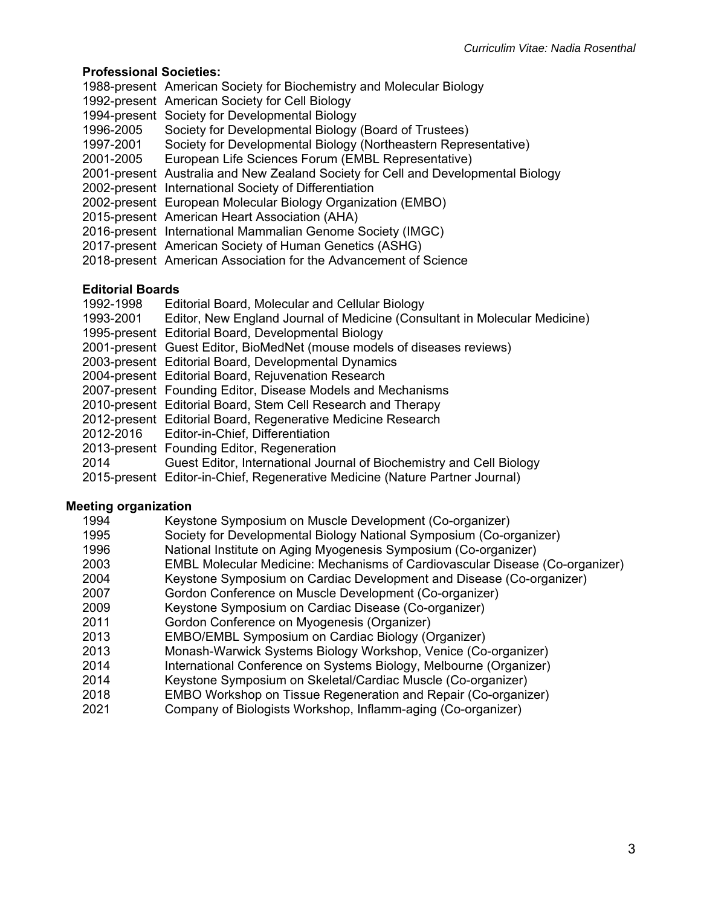## **Professional Societies:**

- 1988-present American Society for Biochemistry and Molecular Biology
- 1992-present American Society for Cell Biology
- 1994-present Society for Developmental Biology
- 1996-2005 Society for Developmental Biology (Board of Trustees)
- 1997-2001 Society for Developmental Biology (Northeastern Representative)
- 2001-2005 European Life Sciences Forum (EMBL Representative)
- 2001-present Australia and New Zealand Society for Cell and Developmental Biology
- 2002-present International Society of Differentiation
- 2002-present European Molecular Biology Organization (EMBO)
- 2015-present American Heart Association (AHA)
- 2016-present International Mammalian Genome Society (IMGC)
- 2017-present American Society of Human Genetics (ASHG)
- 2018-present American Association for the Advancement of Science

### **Editorial Boards**

- 1992-1998 Editorial Board, Molecular and Cellular Biology
- 1993-2001 Editor, New England Journal of Medicine (Consultant in Molecular Medicine)
- 1995-present Editorial Board, Developmental Biology
- 2001-present Guest Editor, BioMedNet (mouse models of diseases reviews)
- 2003-present Editorial Board, Developmental Dynamics
- 2004-present Editorial Board, Rejuvenation Research
- 2007-present Founding Editor, Disease Models and Mechanisms
- 2010-present Editorial Board, Stem Cell Research and Therapy
- 2012-present Editorial Board, Regenerative Medicine Research
- 2012-2016 Editor-in-Chief, Differentiation
- 2013-present Founding Editor, Regeneration
- 2014 Guest Editor, International Journal of Biochemistry and Cell Biology
- 2015-present Editor-in-Chief, Regenerative Medicine (Nature Partner Journal)

### **Meeting organization**

1994 Keystone Symposium on Muscle Development (Co-organizer) 1995 Society for Developmental Biology National Symposium (Co-organizer) 1996 National Institute on Aging Myogenesis Symposium (Co-organizer) 2003 EMBL Molecular Medicine: Mechanisms of Cardiovascular Disease (Co-organizer) 2004 Keystone Symposium on Cardiac Development and Disease (Co-organizer) 2007 Gordon Conference on Muscle Development (Co-organizer) 2009 Keystone Symposium on Cardiac Disease (Co-organizer) 2011 Gordon Conference on Myogenesis (Organizer) 2013 EMBO/EMBL Symposium on Cardiac Biology (Organizer) 2013 Monash-Warwick Systems Biology Workshop, Venice (Co-organizer) 2014 International Conference on Systems Biology, Melbourne (Organizer) 2014 Keystone Symposium on Skeletal/Cardiac Muscle (Co-organizer) 2018 EMBO Workshop on Tissue Regeneration and Repair (Co-organizer) 2021 Company of Biologists Workshop, Inflamm-aging (Co-organizer)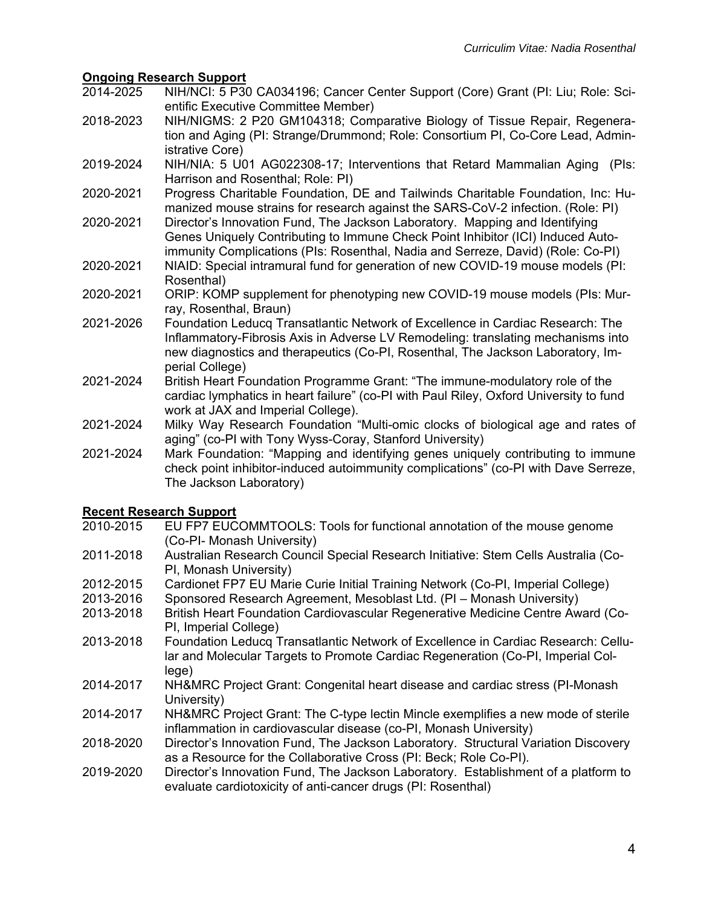- **Ongoing Research Support**  2014-2025 NIH/NCI: 5 P30 CA034196; Cancer Center Support (Core) Grant (PI: Liu; Role: Scientific Executive Committee Member)
- 2018-2023 NIH/NIGMS: 2 P20 GM104318; Comparative Biology of Tissue Repair, Regeneration and Aging (PI: Strange/Drummond; Role: Consortium PI, Co-Core Lead, Administrative Core)
- 2019-2024 NIH/NIA: 5 U01 AG022308-17; Interventions that Retard Mammalian Aging (PIs: Harrison and Rosenthal; Role: PI)
- 2020-2021 Progress Charitable Foundation, DE and Tailwinds Charitable Foundation, Inc: Humanized mouse strains for research against the SARS-CoV-2 infection. (Role: PI)
- 2020-2021 Director's Innovation Fund, The Jackson Laboratory. Mapping and Identifying Genes Uniquely Contributing to Immune Check Point Inhibitor (ICI) Induced Autoimmunity Complications (PIs: Rosenthal, Nadia and Serreze, David) (Role: Co-PI)
- 2020-2021 NIAID: Special intramural fund for generation of new COVID-19 mouse models (PI: Rosenthal)
- 2020-2021 ORIP: KOMP supplement for phenotyping new COVID-19 mouse models (PIs: Murray, Rosenthal, Braun)
- 2021-2026 Foundation Leducq Transatlantic Network of Excellence in Cardiac Research: The Inflammatory-Fibrosis Axis in Adverse LV Remodeling: translating mechanisms into new diagnostics and therapeutics (Co-PI, Rosenthal, The Jackson Laboratory, Imperial College)
- 2021-2024 British Heart Foundation Programme Grant: "The immune-modulatory role of the cardiac lymphatics in heart failure" (co-PI with Paul Riley, Oxford University to fund work at JAX and Imperial College).
- 2021-2024 Milky Way Research Foundation "Multi-omic clocks of biological age and rates of aging" (co-PI with Tony Wyss-Coray, Stanford University)
- 2021-2024 Mark Foundation: "Mapping and identifying genes uniquely contributing to immune check point inhibitor-induced autoimmunity complications" (co-PI with Dave Serreze, The Jackson Laboratory)

# **Recent Research Support**

- EU FP7 EUCOMMTOOLS: Tools for functional annotation of the mouse genome (Co-PI- Monash University)
- 2011-2018 Australian Research Council Special Research Initiative: Stem Cells Australia (Co-PI, Monash University)
- 2012-2015 Cardionet FP7 EU Marie Curie Initial Training Network (Co-PI, Imperial College)
- 2013-2016 Sponsored Research Agreement, Mesoblast Ltd. (PI Monash University)
- 2013-2018 British Heart Foundation Cardiovascular Regenerative Medicine Centre Award (Co-PI, Imperial College)
- 2013-2018 Foundation Leducq Transatlantic Network of Excellence in Cardiac Research: Cellular and Molecular Targets to Promote Cardiac Regeneration (Co-PI, Imperial College)
- 2014-2017 NH&MRC Project Grant: Congenital heart disease and cardiac stress (PI-Monash University)
- 2014-2017 NH&MRC Project Grant: The C-type lectin Mincle exemplifies a new mode of sterile inflammation in cardiovascular disease (co-PI, Monash University)
- 2018-2020 Director's Innovation Fund, The Jackson Laboratory. Structural Variation Discovery as a Resource for the Collaborative Cross (PI: Beck; Role Co-PI).
- 2019-2020 Director's Innovation Fund, The Jackson Laboratory. Establishment of a platform to evaluate cardiotoxicity of anti-cancer drugs (PI: Rosenthal)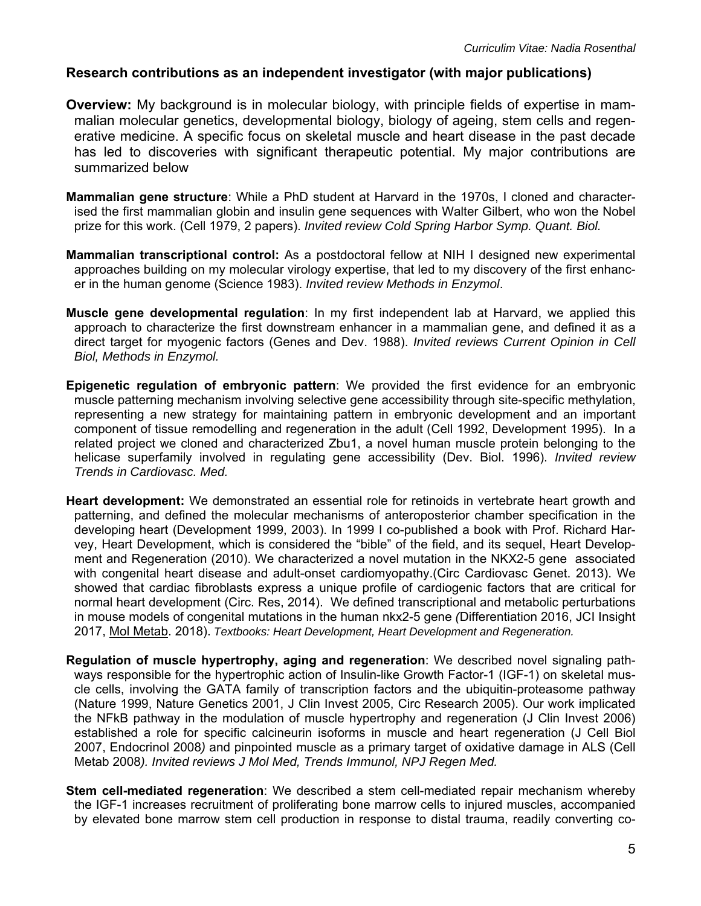# **Research contributions as an independent investigator (with major publications)**

- **Overview:** My background is in molecular biology, with principle fields of expertise in mammalian molecular genetics, developmental biology, biology of ageing, stem cells and regenerative medicine. A specific focus on skeletal muscle and heart disease in the past decade has led to discoveries with significant therapeutic potential. My major contributions are summarized below
- **Mammalian gene structure**: While a PhD student at Harvard in the 1970s, I cloned and characterised the first mammalian globin and insulin gene sequences with Walter Gilbert, who won the Nobel prize for this work. (Cell 1979, 2 papers). *Invited review Cold Spring Harbor Symp. Quant. Biol.*
- **Mammalian transcriptional control:** As a postdoctoral fellow at NIH I designed new experimental approaches building on my molecular virology expertise, that led to my discovery of the first enhancer in the human genome (Science 1983). *Invited review Methods in Enzymol*.
- **Muscle gene developmental regulation**: In my first independent lab at Harvard, we applied this approach to characterize the first downstream enhancer in a mammalian gene, and defined it as a direct target for myogenic factors (Genes and Dev. 1988). *Invited reviews Current Opinion in Cell Biol, Methods in Enzymol.*
- **Epigenetic regulation of embryonic pattern**: We provided the first evidence for an embryonic muscle patterning mechanism involving selective gene accessibility through site-specific methylation, representing a new strategy for maintaining pattern in embryonic development and an important component of tissue remodelling and regeneration in the adult (Cell 1992, Development 1995). In a related project we cloned and characterized Zbu1, a novel human muscle protein belonging to the helicase superfamily involved in regulating gene accessibility (Dev. Biol. 1996). *Invited review Trends in Cardiovasc. Med.*
- **Heart development:** We demonstrated an essential role for retinoids in vertebrate heart growth and patterning, and defined the molecular mechanisms of anteroposterior chamber specification in the developing heart (Development 1999, 2003). In 1999 I co-published a book with Prof. Richard Harvey, Heart Development, which is considered the "bible" of the field, and its sequel, Heart Development and Regeneration (2010). We characterized a novel mutation in the NKX2-5 gene associated with congenital heart disease and adult-onset cardiomyopathy.(Circ Cardiovasc Genet. 2013). We showed that cardiac fibroblasts express a unique profile of cardiogenic factors that are critical for normal heart development (Circ. Res, 2014). We defined transcriptional and metabolic perturbations in mouse models of congenital mutations in the human nkx2-5 gene *(*Differentiation 2016, JCI Insight 2017, Mol Metab. 2018). *Textbooks: Heart Development, Heart Development and Regeneration.*
- **Regulation of muscle hypertrophy, aging and regeneration**: We described novel signaling pathways responsible for the hypertrophic action of Insulin-like Growth Factor-1 (IGF-1) on skeletal muscle cells, involving the GATA family of transcription factors and the ubiquitin-proteasome pathway (Nature 1999, Nature Genetics 2001, J Clin Invest 2005, Circ Research 2005). Our work implicated the NFkB pathway in the modulation of muscle hypertrophy and regeneration (J Clin Invest 2006) established a role for specific calcineurin isoforms in muscle and heart regeneration (J Cell Biol 2007, Endocrinol 2008*)* and pinpointed muscle as a primary target of oxidative damage in ALS (Cell Metab 2008*). Invited reviews J Mol Med, Trends Immunol, NPJ Regen Med.*
- **Stem cell-mediated regeneration**: We described a stem cell-mediated repair mechanism whereby the IGF-1 increases recruitment of proliferating bone marrow cells to injured muscles, accompanied by elevated bone marrow stem cell production in response to distal trauma, readily converting co-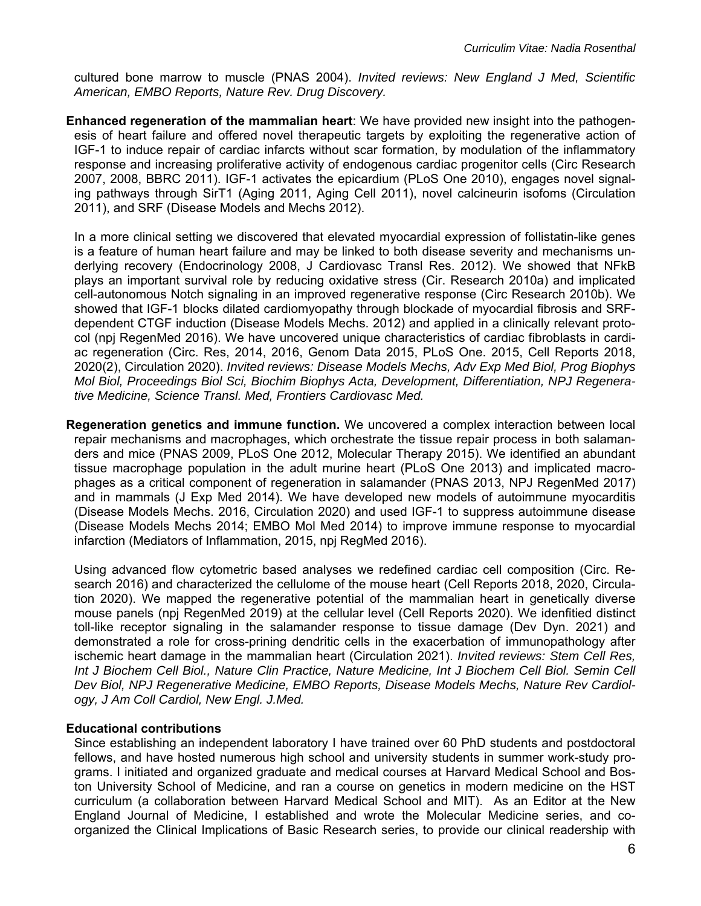cultured bone marrow to muscle (PNAS 2004). *Invited reviews: New England J Med, Scientific American, EMBO Reports, Nature Rev. Drug Discovery.* 

**Enhanced regeneration of the mammalian heart**: We have provided new insight into the pathogenesis of heart failure and offered novel therapeutic targets by exploiting the regenerative action of IGF-1 to induce repair of cardiac infarcts without scar formation, by modulation of the inflammatory response and increasing proliferative activity of endogenous cardiac progenitor cells (Circ Research 2007, 2008, BBRC 2011). IGF-1 activates the epicardium (PLoS One 2010), engages novel signaling pathways through SirT1 (Aging 2011, Aging Cell 2011), novel calcineurin isofoms (Circulation 2011), and SRF (Disease Models and Mechs 2012).

In a more clinical setting we discovered that elevated myocardial expression of follistatin-like genes is a feature of human heart failure and may be linked to both disease severity and mechanisms underlying recovery (Endocrinology 2008, J Cardiovasc Transl Res. 2012). We showed that NFkB plays an important survival role by reducing oxidative stress (Cir. Research 2010a) and implicated cell-autonomous Notch signaling in an improved regenerative response (Circ Research 2010b). We showed that IGF-1 blocks dilated cardiomyopathy through blockade of myocardial fibrosis and SRFdependent CTGF induction (Disease Models Mechs. 2012) and applied in a clinically relevant protocol (npj RegenMed 2016). We have uncovered unique characteristics of cardiac fibroblasts in cardiac regeneration (Circ. Res, 2014, 2016, Genom Data 2015, PLoS One. 2015, Cell Reports 2018, 2020(2), Circulation 2020). *Invited reviews: Disease Models Mechs, Adv Exp Med Biol, Prog Biophys Mol Biol, Proceedings Biol Sci, Biochim Biophys Acta, Development, Differentiation, NPJ Regenerative Medicine, Science Transl. Med, Frontiers Cardiovasc Med.* 

**Regeneration genetics and immune function.** We uncovered a complex interaction between local repair mechanisms and macrophages, which orchestrate the tissue repair process in both salamanders and mice (PNAS 2009, PLoS One 2012, Molecular Therapy 2015). We identified an abundant tissue macrophage population in the adult murine heart (PLoS One 2013) and implicated macrophages as a critical component of regeneration in salamander (PNAS 2013, NPJ RegenMed 2017) and in mammals (J Exp Med 2014). We have developed new models of autoimmune myocarditis (Disease Models Mechs. 2016, Circulation 2020) and used IGF-1 to suppress autoimmune disease (Disease Models Mechs 2014; EMBO Mol Med 2014) to improve immune response to myocardial infarction (Mediators of Inflammation, 2015, npj RegMed 2016).

 Using advanced flow cytometric based analyses we redefined cardiac cell composition (Circ. Research 2016) and characterized the cellulome of the mouse heart (Cell Reports 2018, 2020, Circulation 2020). We mapped the regenerative potential of the mammalian heart in genetically diverse mouse panels (npj RegenMed 2019) at the cellular level (Cell Reports 2020). We idenfitied distinct toll-like receptor signaling in the salamander response to tissue damage (Dev Dyn. 2021) and demonstrated a role for cross-prining dendritic cells in the exacerbation of immunopathology after ischemic heart damage in the mammalian heart (Circulation 2021). *Invited reviews: Stem Cell Res, Int J Biochem Cell Biol., Nature Clin Practice, Nature Medicine, Int J Biochem Cell Biol. Semin Cell Dev Biol, NPJ Regenerative Medicine, EMBO Reports, Disease Models Mechs, Nature Rev Cardiology, J Am Coll Cardiol, New Engl. J.Med.*

### **Educational contributions**

Since establishing an independent laboratory I have trained over 60 PhD students and postdoctoral fellows, and have hosted numerous high school and university students in summer work-study programs. I initiated and organized graduate and medical courses at Harvard Medical School and Boston University School of Medicine, and ran a course on genetics in modern medicine on the HST curriculum (a collaboration between Harvard Medical School and MIT). As an Editor at the New England Journal of Medicine, I established and wrote the Molecular Medicine series, and coorganized the Clinical Implications of Basic Research series, to provide our clinical readership with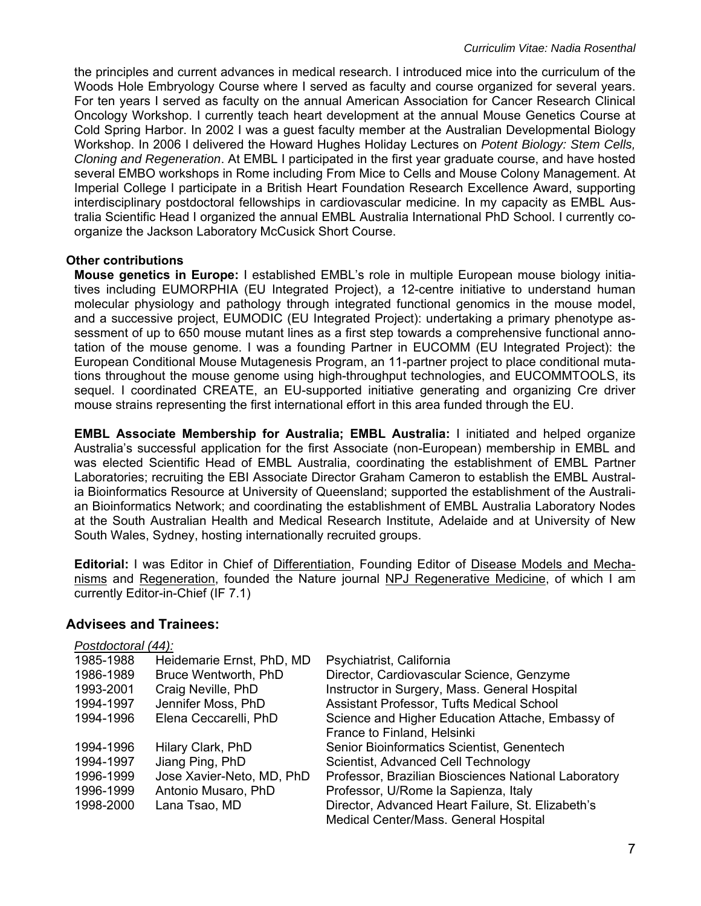the principles and current advances in medical research. I introduced mice into the curriculum of the Woods Hole Embryology Course where I served as faculty and course organized for several years. For ten years I served as faculty on the annual American Association for Cancer Research Clinical Oncology Workshop. I currently teach heart development at the annual Mouse Genetics Course at Cold Spring Harbor. In 2002 I was a guest faculty member at the Australian Developmental Biology Workshop. In 2006 I delivered the Howard Hughes Holiday Lectures on *Potent Biology: Stem Cells, Cloning and Regeneration*. At EMBL I participated in the first year graduate course, and have hosted several EMBO workshops in Rome including From Mice to Cells and Mouse Colony Management. At Imperial College I participate in a British Heart Foundation Research Excellence Award, supporting interdisciplinary postdoctoral fellowships in cardiovascular medicine. In my capacity as EMBL Australia Scientific Head I organized the annual EMBL Australia International PhD School. I currently coorganize the Jackson Laboratory McCusick Short Course.

### **Other contributions**

 **Mouse genetics in Europe:** I established EMBL's role in multiple European mouse biology initiatives including EUMORPHIA (EU Integrated Project), a 12-centre initiative to understand human molecular physiology and pathology through integrated functional genomics in the mouse model, and a successive project, EUMODIC (EU Integrated Project): undertaking a primary phenotype assessment of up to 650 mouse mutant lines as a first step towards a comprehensive functional annotation of the mouse genome. I was a founding Partner in EUCOMM (EU Integrated Project): the European Conditional Mouse Mutagenesis Program, an 11-partner project to place conditional mutations throughout the mouse genome using high-throughput technologies, and EUCOMMTOOLS, its sequel. I coordinated CREATE, an EU-supported initiative generating and organizing Cre driver mouse strains representing the first international effort in this area funded through the EU.

**EMBL Associate Membership for Australia; EMBL Australia:** I initiated and helped organize Australia's successful application for the first Associate (non-European) membership in EMBL and was elected Scientific Head of EMBL Australia, coordinating the establishment of EMBL Partner Laboratories; recruiting the EBI Associate Director Graham Cameron to establish the EMBL Australia Bioinformatics Resource at University of Queensland; supported the establishment of the Australian Bioinformatics Network; and coordinating the establishment of EMBL Australia Laboratory Nodes at the South Australian Health and Medical Research Institute, Adelaide and at University of New South Wales, Sydney, hosting internationally recruited groups.

**Editorial:** I was Editor in Chief of Differentiation, Founding Editor of Disease Models and Mechanisms and Regeneration, founded the Nature journal NPJ Regenerative Medicine, of which I am currently Editor-in-Chief (IF 7.1)

### **Advisees and Trainees:**

| Postdoctoral (44): |                           |                                                      |
|--------------------|---------------------------|------------------------------------------------------|
| 1985-1988          | Heidemarie Ernst, PhD, MD | Psychiatrist, California                             |
| 1986-1989          | Bruce Wentworth, PhD      | Director, Cardiovascular Science, Genzyme            |
| 1993-2001          | Craig Neville, PhD        | Instructor in Surgery, Mass. General Hospital        |
| 1994-1997          | Jennifer Moss, PhD        | Assistant Professor, Tufts Medical School            |
| 1994-1996          | Elena Ceccarelli, PhD     | Science and Higher Education Attache, Embassy of     |
|                    |                           | France to Finland, Helsinki                          |
| 1994-1996          | Hilary Clark, PhD         | Senior Bioinformatics Scientist, Genentech           |
| 1994-1997          | Jiang Ping, PhD           | Scientist, Advanced Cell Technology                  |
| 1996-1999          | Jose Xavier-Neto, MD, PhD | Professor, Brazilian Biosciences National Laboratory |
| 1996-1999          | Antonio Musaro, PhD       | Professor, U/Rome la Sapienza, Italy                 |
| 1998-2000          | Lana Tsao, MD             | Director, Advanced Heart Failure, St. Elizabeth's    |
|                    |                           | Medical Center/Mass. General Hospital                |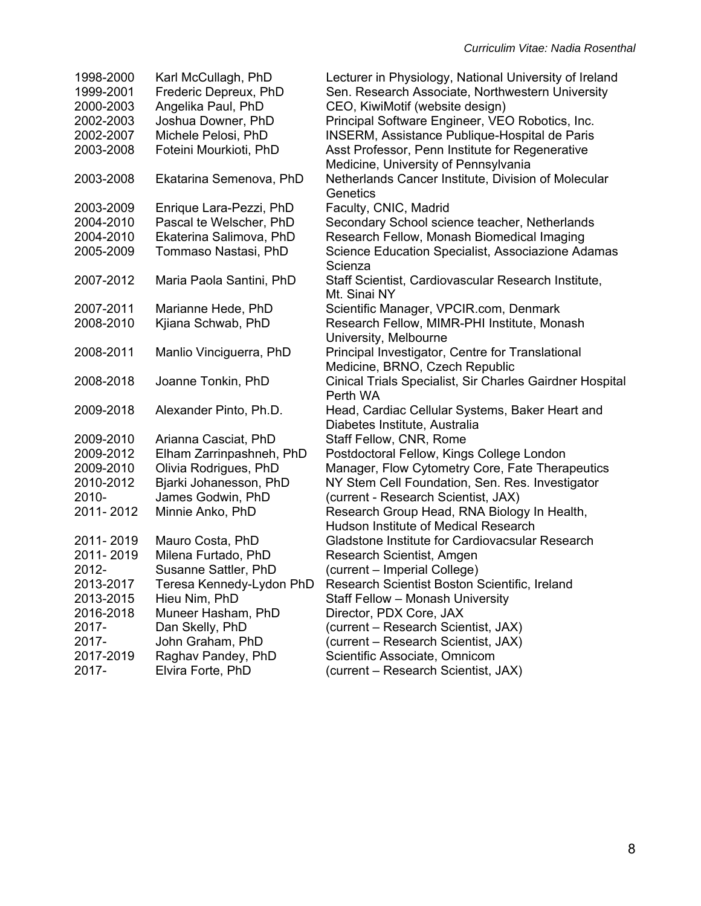| 1998-2000 | Karl McCullagh, PhD      | Lecturer in Physiology, National University of Ireland   |
|-----------|--------------------------|----------------------------------------------------------|
| 1999-2001 | Frederic Depreux, PhD    | Sen. Research Associate, Northwestern University         |
| 2000-2003 | Angelika Paul, PhD       | CEO, KiwiMotif (website design)                          |
| 2002-2003 | Joshua Downer, PhD       | Principal Software Engineer, VEO Robotics, Inc.          |
| 2002-2007 | Michele Pelosi, PhD      | INSERM, Assistance Publique-Hospital de Paris            |
| 2003-2008 | Foteini Mourkioti, PhD   | Asst Professor, Penn Institute for Regenerative          |
|           |                          | Medicine, University of Pennsylvania                     |
| 2003-2008 | Ekatarina Semenova, PhD  | Netherlands Cancer Institute, Division of Molecular      |
|           |                          | Genetics                                                 |
| 2003-2009 | Enrique Lara-Pezzi, PhD  | Faculty, CNIC, Madrid                                    |
| 2004-2010 | Pascal te Welscher, PhD  | Secondary School science teacher, Netherlands            |
| 2004-2010 | Ekaterina Salimova, PhD  | Research Fellow, Monash Biomedical Imaging               |
| 2005-2009 | Tommaso Nastasi, PhD     | Science Education Specialist, Associazione Adamas        |
|           |                          | Scienza                                                  |
| 2007-2012 | Maria Paola Santini, PhD | Staff Scientist, Cardiovascular Research Institute,      |
|           |                          | Mt. Sinai NY                                             |
| 2007-2011 | Marianne Hede, PhD       | Scientific Manager, VPCIR.com, Denmark                   |
| 2008-2010 | Kjiana Schwab, PhD       | Research Fellow, MIMR-PHI Institute, Monash              |
|           |                          | University, Melbourne                                    |
| 2008-2011 | Manlio Vinciguerra, PhD  | Principal Investigator, Centre for Translational         |
|           |                          | Medicine, BRNO, Czech Republic                           |
| 2008-2018 | Joanne Tonkin, PhD       | Cinical Trials Specialist, Sir Charles Gairdner Hospital |
|           |                          | Perth WA                                                 |
| 2009-2018 | Alexander Pinto, Ph.D.   | Head, Cardiac Cellular Systems, Baker Heart and          |
|           |                          | Diabetes Institute, Australia                            |
| 2009-2010 | Arianna Casciat, PhD     | Staff Fellow, CNR, Rome                                  |
| 2009-2012 | Elham Zarrinpashneh, PhD | Postdoctoral Fellow, Kings College London                |
| 2009-2010 | Olivia Rodrigues, PhD    | Manager, Flow Cytometry Core, Fate Therapeutics          |
| 2010-2012 | Bjarki Johanesson, PhD   | NY Stem Cell Foundation, Sen. Res. Investigator          |
| 2010-     | James Godwin, PhD        | (current - Research Scientist, JAX)                      |
| 2011-2012 | Minnie Anko, PhD         | Research Group Head, RNA Biology In Health,              |
|           |                          | Hudson Institute of Medical Research                     |
| 2011-2019 | Mauro Costa, PhD         | Gladstone Institute for Cardiovacsular Research          |
| 2011-2019 | Milena Furtado, PhD      | Research Scientist, Amgen                                |
| 2012-     | Susanne Sattler, PhD     | (current - Imperial College)                             |
| 2013-2017 | Teresa Kennedy-Lydon PhD | Research Scientist Boston Scientific, Ireland            |
| 2013-2015 | Hieu Nim, PhD            | Staff Fellow - Monash University                         |
| 2016-2018 | Muneer Hasham, PhD       | Director, PDX Core, JAX                                  |
| 2017-     | Dan Skelly, PhD          | (current – Research Scientist, JAX)                      |
| 2017-     | John Graham, PhD         | (current – Research Scientist, JAX)                      |
| 2017-2019 | Raghav Pandey, PhD       | Scientific Associate, Omnicom                            |
| 2017-     | Elvira Forte, PhD        | (current – Research Scientist, JAX)                      |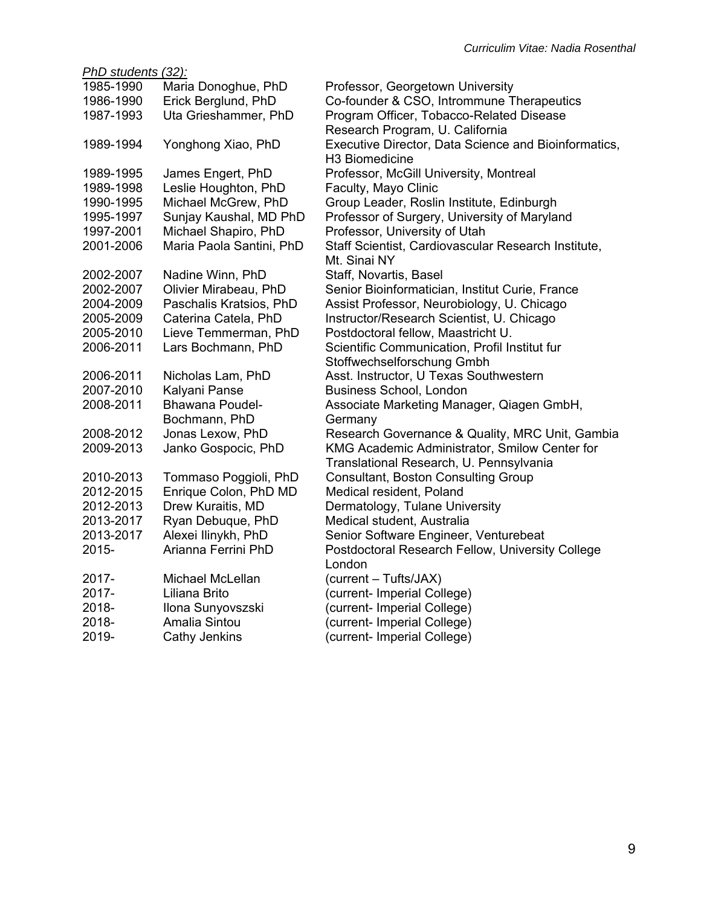|           | PhD students (32):       |                                                                     |  |  |  |
|-----------|--------------------------|---------------------------------------------------------------------|--|--|--|
| 1985-1990 | Maria Donoghue, PhD      | Professor, Georgetown University                                    |  |  |  |
| 1986-1990 | Erick Berglund, PhD      | Co-founder & CSO, Intrommune Therapeutics                           |  |  |  |
| 1987-1993 | Uta Grieshammer, PhD     | Program Officer, Tobacco-Related Disease                            |  |  |  |
|           |                          | Research Program, U. California                                     |  |  |  |
| 1989-1994 | Yonghong Xiao, PhD       | Executive Director, Data Science and Bioinformatics,                |  |  |  |
|           |                          | H <sub>3</sub> Biomedicine                                          |  |  |  |
| 1989-1995 | James Engert, PhD        | Professor, McGill University, Montreal                              |  |  |  |
| 1989-1998 | Leslie Houghton, PhD     | Faculty, Mayo Clinic                                                |  |  |  |
| 1990-1995 | Michael McGrew, PhD      | Group Leader, Roslin Institute, Edinburgh                           |  |  |  |
| 1995-1997 | Sunjay Kaushal, MD PhD   | Professor of Surgery, University of Maryland                        |  |  |  |
| 1997-2001 | Michael Shapiro, PhD     | Professor, University of Utah                                       |  |  |  |
| 2001-2006 | Maria Paola Santini, PhD | Staff Scientist, Cardiovascular Research Institute,<br>Mt. Sinai NY |  |  |  |
| 2002-2007 | Nadine Winn, PhD         | Staff, Novartis, Basel                                              |  |  |  |
| 2002-2007 | Olivier Mirabeau, PhD    | Senior Bioinformatician, Institut Curie, France                     |  |  |  |
| 2004-2009 | Paschalis Kratsios, PhD  | Assist Professor, Neurobiology, U. Chicago                          |  |  |  |
| 2005-2009 | Caterina Catela, PhD     | Instructor/Research Scientist, U. Chicago                           |  |  |  |
| 2005-2010 | Lieve Temmerman, PhD     | Postdoctoral fellow, Maastricht U.                                  |  |  |  |
| 2006-2011 | Lars Bochmann, PhD       | Scientific Communication, Profil Institut fur                       |  |  |  |
|           |                          | Stoffwechselforschung Gmbh                                          |  |  |  |
| 2006-2011 | Nicholas Lam, PhD        | Asst. Instructor, U Texas Southwestern                              |  |  |  |
| 2007-2010 | Kalyani Panse            | <b>Business School, London</b>                                      |  |  |  |
| 2008-2011 | Bhawana Poudel-          | Associate Marketing Manager, Qiagen GmbH,                           |  |  |  |
|           | Bochmann, PhD            | Germany                                                             |  |  |  |
| 2008-2012 | Jonas Lexow, PhD         | Research Governance & Quality, MRC Unit, Gambia                     |  |  |  |
| 2009-2013 | Janko Gospocic, PhD      | KMG Academic Administrator, Smilow Center for                       |  |  |  |
|           |                          | Translational Research, U. Pennsylvania                             |  |  |  |
| 2010-2013 | Tommaso Poggioli, PhD    | <b>Consultant, Boston Consulting Group</b>                          |  |  |  |
| 2012-2015 | Enrique Colon, PhD MD    | Medical resident, Poland                                            |  |  |  |
| 2012-2013 | Drew Kuraitis, MD        | Dermatology, Tulane University                                      |  |  |  |
| 2013-2017 | Ryan Debuque, PhD        | Medical student, Australia                                          |  |  |  |
| 2013-2017 | Alexei Ilinykh, PhD      | Senior Software Engineer, Venturebeat                               |  |  |  |
| 2015-     | Arianna Ferrini PhD      | Postdoctoral Research Fellow, University College                    |  |  |  |
|           |                          | London                                                              |  |  |  |
| 2017-     | Michael McLellan         | (current - Tufts/JAX)                                               |  |  |  |
| 2017-     | Liliana Brito            | (current- Imperial College)                                         |  |  |  |
| 2018-     | Ilona Sunyovszski        | (current- Imperial College)                                         |  |  |  |
| 2018-     | Amalia Sintou            | (current- Imperial College)                                         |  |  |  |
| 2019-     | Cathy Jenkins            | (current- Imperial College)                                         |  |  |  |
|           |                          |                                                                     |  |  |  |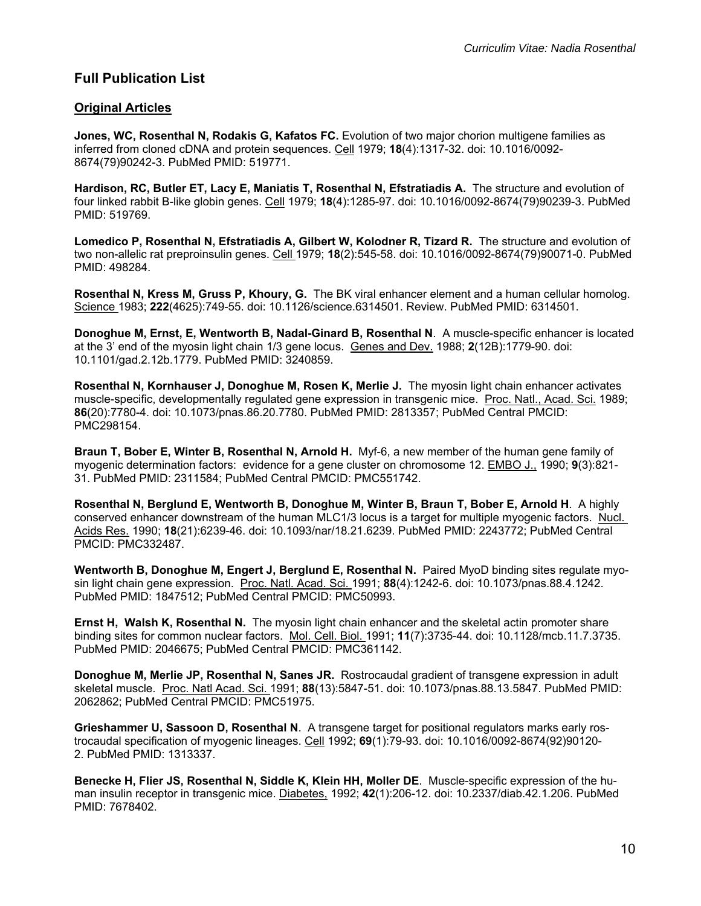# **Full Publication List**

### **Original Articles**

**Jones, WC, Rosenthal N, Rodakis G, Kafatos FC.** Evolution of two major chorion multigene families as inferred from cloned cDNA and protein sequences. Cell 1979; **18**(4):1317-32. doi: 10.1016/0092- 8674(79)90242-3. PubMed PMID: 519771.

**Hardison, RC, Butler ET, Lacy E, Maniatis T, Rosenthal N, Efstratiadis A.** The structure and evolution of four linked rabbit B-like globin genes. Cell 1979; **18**(4):1285-97. doi: 10.1016/0092-8674(79)90239-3. PubMed PMID: 519769.

**Lomedico P, Rosenthal N, Efstratiadis A, Gilbert W, Kolodner R, Tizard R.** The structure and evolution of two non-allelic rat preproinsulin genes. Cell 1979; **18**(2):545-58. doi: 10.1016/0092-8674(79)90071-0. PubMed PMID: 498284.

**Rosenthal N, Kress M, Gruss P, Khoury, G.** The BK viral enhancer element and a human cellular homolog. Science 1983; **222**(4625):749-55. doi: 10.1126/science.6314501. Review. PubMed PMID: 6314501.

**Donoghue M, Ernst, E, Wentworth B, Nadal-Ginard B, Rosenthal N**. A muscle-specific enhancer is located at the 3' end of the myosin light chain 1/3 gene locus. Genes and Dev. 1988; **2**(12B):1779-90. doi: 10.1101/gad.2.12b.1779. PubMed PMID: 3240859.

**Rosenthal N, Kornhauser J, Donoghue M, Rosen K, Merlie J.** The myosin light chain enhancer activates muscle-specific, developmentally regulated gene expression in transgenic mice. Proc. Natl., Acad. Sci. 1989; **86**(20):7780-4. doi: 10.1073/pnas.86.20.7780. PubMed PMID: 2813357; PubMed Central PMCID: PMC298154.

**Braun T, Bober E, Winter B, Rosenthal N, Arnold H.** Myf-6, a new member of the human gene family of myogenic determination factors: evidence for a gene cluster on chromosome 12. EMBO J., 1990; **9**(3):821- 31. PubMed PMID: 2311584; PubMed Central PMCID: PMC551742.

**Rosenthal N, Berglund E, Wentworth B, Donoghue M, Winter B, Braun T, Bober E, Arnold H**. A highly conserved enhancer downstream of the human MLC1/3 locus is a target for multiple myogenic factors. Nucl. Acids Res. 1990; **18**(21):6239-46. doi: 10.1093/nar/18.21.6239. PubMed PMID: 2243772; PubMed Central PMCID: PMC332487.

**Wentworth B, Donoghue M, Engert J, Berglund E, Rosenthal N.** Paired MyoD binding sites regulate myosin light chain gene expression. Proc. Natl. Acad. Sci. 1991; **88**(4):1242-6. doi: 10.1073/pnas.88.4.1242. PubMed PMID: 1847512; PubMed Central PMCID: PMC50993.

**Ernst H, Walsh K, Rosenthal N.** The myosin light chain enhancer and the skeletal actin promoter share binding sites for common nuclear factors. Mol. Cell. Biol. 1991; **11**(7):3735-44. doi: 10.1128/mcb.11.7.3735. PubMed PMID: 2046675; PubMed Central PMCID: PMC361142.

**Donoghue M, Merlie JP, Rosenthal N, Sanes JR.** Rostrocaudal gradient of transgene expression in adult skeletal muscle. Proc. Natl Acad. Sci. 1991; **88**(13):5847-51. doi: 10.1073/pnas.88.13.5847. PubMed PMID: 2062862; PubMed Central PMCID: PMC51975.

**Grieshammer U, Sassoon D, Rosenthal N**. A transgene target for positional regulators marks early rostrocaudal specification of myogenic lineages. Cell 1992; **69**(1):79-93. doi: 10.1016/0092-8674(92)90120- 2. PubMed PMID: 1313337.

**Benecke H, Flier JS, Rosenthal N, Siddle K, Klein HH, Moller DE**. Muscle-specific expression of the human insulin receptor in transgenic mice. Diabetes, 1992; **42**(1):206-12. doi: 10.2337/diab.42.1.206. PubMed PMID: 7678402.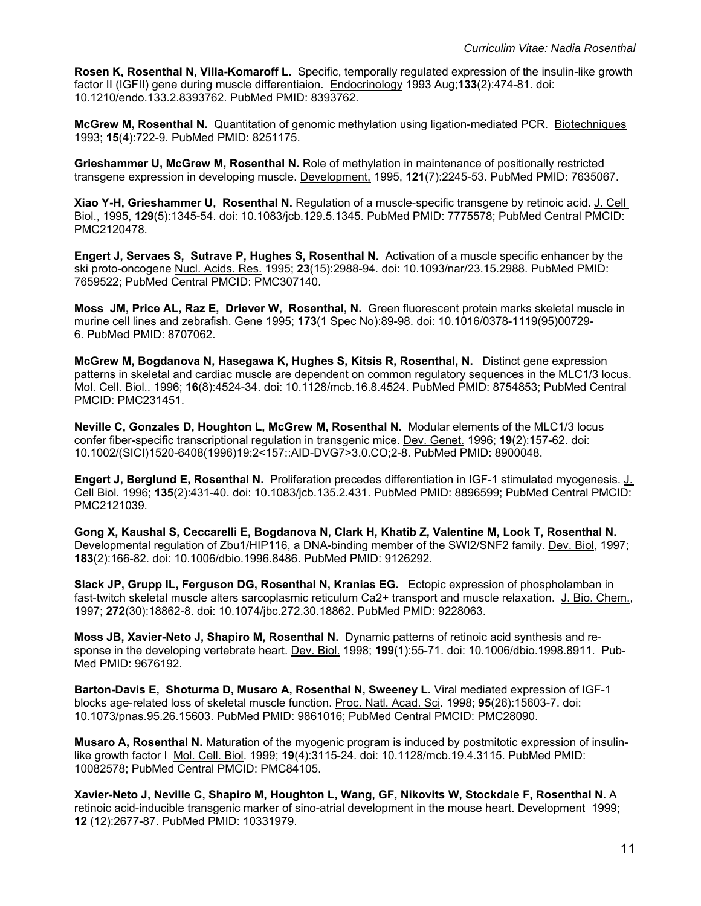**Rosen K, Rosenthal N, Villa-Komaroff L.** Specific, temporally regulated expression of the insulin-like growth factor II (IGFII) gene during muscle differentiaion. Endocrinology 1993 Aug;**133**(2):474-81. doi: 10.1210/endo.133.2.8393762. PubMed PMID: 8393762.

**McGrew M, Rosenthal N.** Quantitation of genomic methylation using ligation-mediated PCR. Biotechniques 1993; **15**(4):722-9. PubMed PMID: 8251175.

**Grieshammer U, McGrew M, Rosenthal N.** Role of methylation in maintenance of positionally restricted transgene expression in developing muscle. Development, 1995, **121**(7):2245-53. PubMed PMID: 7635067.

**Xiao Y-H, Grieshammer U, Rosenthal N.** Regulation of a muscle-specific transgene by retinoic acid. J. Cell Biol., 1995, **129**(5):1345-54. doi: 10.1083/jcb.129.5.1345. PubMed PMID: 7775578; PubMed Central PMCID: PMC2120478.

**Engert J, Servaes S, Sutrave P, Hughes S, Rosenthal N.** Activation of a muscle specific enhancer by the ski proto-oncogene Nucl. Acids. Res. 1995; **23**(15):2988-94. doi: 10.1093/nar/23.15.2988. PubMed PMID: 7659522; PubMed Central PMCID: PMC307140.

**Moss JM, Price AL, Raz E, Driever W, Rosenthal, N.** Green fluorescent protein marks skeletal muscle in murine cell lines and zebrafish. Gene 1995; **173**(1 Spec No):89-98. doi: 10.1016/0378-1119(95)00729- 6. PubMed PMID: 8707062.

**McGrew M, Bogdanova N, Hasegawa K, Hughes S, Kitsis R, Rosenthal, N.** Distinct gene expression patterns in skeletal and cardiac muscle are dependent on common regulatory sequences in the MLC1/3 locus. Mol. Cell. Biol.. 1996; **16**(8):4524-34. doi: 10.1128/mcb.16.8.4524. PubMed PMID: 8754853; PubMed Central PMCID: PMC231451.

**Neville C, Gonzales D, Houghton L, McGrew M, Rosenthal N.** Modular elements of the MLC1/3 locus confer fiber-specific transcriptional regulation in transgenic mice. Dev. Genet. 1996; **19**(2):157-62. doi: 10.1002/(SICI)1520-6408(1996)19:2<157::AID-DVG7>3.0.CO;2-8. PubMed PMID: 8900048.

**Engert J, Berglund E, Rosenthal N.** Proliferation precedes differentiation in IGF-1 stimulated myogenesis. J. Cell Biol. 1996; **135**(2):431-40. doi: 10.1083/jcb.135.2.431. PubMed PMID: 8896599; PubMed Central PMCID: PMC2121039.

**Gong X, Kaushal S, Ceccarelli E, Bogdanova N, Clark H, Khatib Z, Valentine M, Look T, Rosenthal N.** Developmental regulation of Zbu1/HIP116, a DNA-binding member of the SWI2/SNF2 family. Dev. Biol, 1997; **183**(2):166-82. doi: 10.1006/dbio.1996.8486. PubMed PMID: 9126292.

**Slack JP, Grupp IL, Ferguson DG, Rosenthal N, Kranias EG.** Ectopic expression of phospholamban in fast-twitch skeletal muscle alters sarcoplasmic reticulum Ca2+ transport and muscle relaxation. J. Bio. Chem., 1997; **272**(30):18862-8. doi: 10.1074/jbc.272.30.18862. PubMed PMID: 9228063.

**Moss JB, Xavier-Neto J, Shapiro M, Rosenthal N.** Dynamic patterns of retinoic acid synthesis and response in the developing vertebrate heart. Dev. Biol. 1998; **199**(1):55-71. doi: 10.1006/dbio.1998.8911. Pub-Med PMID: 9676192.

**Barton-Davis E, Shoturma D, Musaro A, Rosenthal N, Sweeney L.** Viral mediated expression of IGF-1 blocks age-related loss of skeletal muscle function. Proc. Natl. Acad. Sci. 1998; **95**(26):15603-7. doi: 10.1073/pnas.95.26.15603. PubMed PMID: 9861016; PubMed Central PMCID: PMC28090.

**Musaro A, Rosenthal N.** Maturation of the myogenic program is induced by postmitotic expression of insulinlike growth factor I Mol. Cell. Biol. 1999; **19**(4):3115-24. doi: 10.1128/mcb.19.4.3115. PubMed PMID: 10082578; PubMed Central PMCID: PMC84105.

**Xavier-Neto J, Neville C, Shapiro M, Houghton L, Wang, GF, Nikovits W, Stockdale F, Rosenthal N.** A retinoic acid-inducible transgenic marker of sino-atrial development in the mouse heart. Development 1999; **12** (12):2677-87. PubMed PMID: 10331979.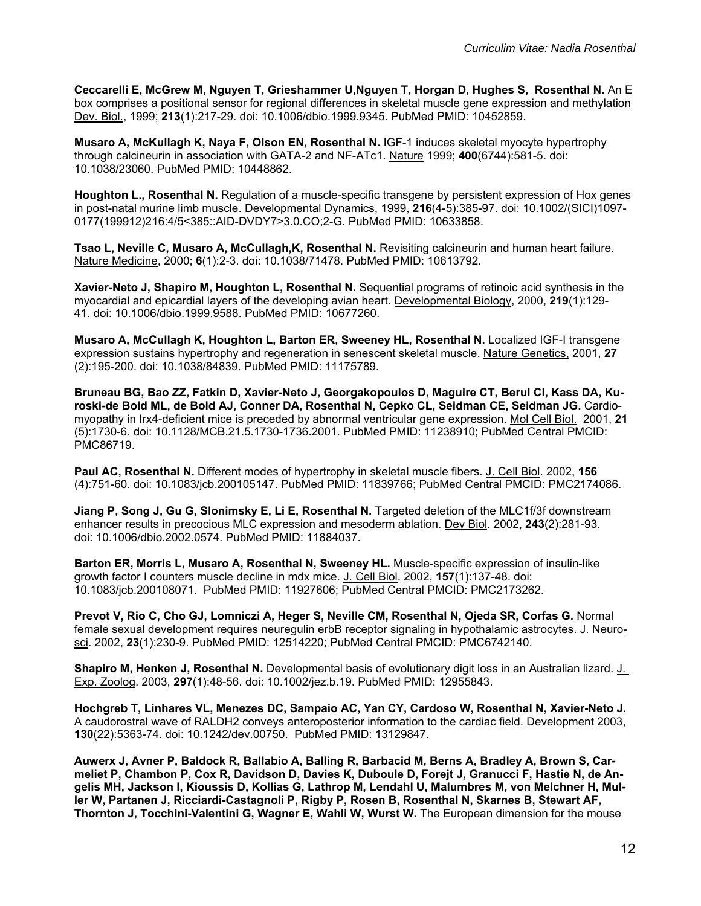**Ceccarelli E, McGrew M, Nguyen T, Grieshammer U,Nguyen T, Horgan D, Hughes S, Rosenthal N.** An E box comprises a positional sensor for regional differences in skeletal muscle gene expression and methylation Dev. Biol., 1999; **213**(1):217-29. doi: 10.1006/dbio.1999.9345. PubMed PMID: 10452859.

**Musaro A, McKullagh K, Naya F, Olson EN, Rosenthal N.** IGF-1 induces skeletal myocyte hypertrophy through calcineurin in association with GATA-2 and NF-ATc1. Nature 1999; **400**(6744):581-5. doi: 10.1038/23060. PubMed PMID: 10448862.

**Houghton L., Rosenthal N.** Regulation of a muscle-specific transgene by persistent expression of Hox genes in post-natal murine limb muscle. Developmental Dynamics, 1999, **216**(4-5):385-97. doi: 10.1002/(SICI)1097- 0177(199912)216:4/5<385::AID-DVDY7>3.0.CO;2-G. PubMed PMID: 10633858.

**Tsao L, Neville C, Musaro A, McCullagh, K, Rosenthal N.** Revisiting calcineurin and human heart failure. Nature Medicine, 2000; **6**(1):2-3. doi: 10.1038/71478. PubMed PMID: 10613792.

**Xavier-Neto J, Shapiro M, Houghton L, Rosenthal N.** Sequential programs of retinoic acid synthesis in the myocardial and epicardial layers of the developing avian heart. Developmental Biology, 2000, **219**(1):129- 41. doi: 10.1006/dbio.1999.9588. PubMed PMID: 10677260.

**Musaro A, McCullagh K, Houghton L, Barton ER, Sweeney HL, Rosenthal N.** Localized IGF-I transgene expression sustains hypertrophy and regeneration in senescent skeletal muscle. Nature Genetics, 2001, **27** (2):195-200. doi: 10.1038/84839. PubMed PMID: 11175789.

**Bruneau BG, Bao ZZ, Fatkin D, Xavier-Neto J, Georgakopoulos D, Maguire CT, Berul CI, Kass DA, Kuroski-de Bold ML, de Bold AJ, Conner DA, Rosenthal N, Cepko CL, Seidman CE, Seidman JG.** Cardiomyopathy in Irx4-deficient mice is preceded by abnormal ventricular gene expression. Mol Cell Biol. 2001, **21** (5):1730-6. doi: 10.1128/MCB.21.5.1730-1736.2001. PubMed PMID: 11238910; PubMed Central PMCID: PMC86719.

**Paul AC, Rosenthal N.** Different modes of hypertrophy in skeletal muscle fibers. J. Cell Biol. 2002, **156** (4):751-60. doi: 10.1083/jcb.200105147. PubMed PMID: 11839766; PubMed Central PMCID: PMC2174086.

**Jiang P, Song J, Gu G, Slonimsky E, Li E, Rosenthal N.** Targeted deletion of the MLC1f/3f downstream enhancer results in precocious MLC expression and mesoderm ablation. Dev Biol. 2002, **243**(2):281-93. doi: 10.1006/dbio.2002.0574. PubMed PMID: 11884037.

**Barton ER, Morris L, Musaro A, Rosenthal N, Sweeney HL.** Muscle-specific expression of insulin-like growth factor I counters muscle decline in mdx mice. J. Cell Biol. 2002, **157**(1):137-48. doi: 10.1083/jcb.200108071. PubMed PMID: 11927606; PubMed Central PMCID: PMC2173262.

**Prevot V, Rio C, Cho GJ, Lomniczi A, Heger S, Neville CM, Rosenthal N, Ojeda SR, Corfas G.** Normal female sexual development requires neuregulin erbB receptor signaling in hypothalamic astrocytes. J. Neurosci. 2002, **23**(1):230-9. PubMed PMID: 12514220; PubMed Central PMCID: PMC6742140.

**Shapiro M, Henken J, Rosenthal N.** Developmental basis of evolutionary digit loss in an Australian lizard. J. Exp. Zoolog. 2003, **297**(1):48-56. doi: 10.1002/jez.b.19. PubMed PMID: 12955843.

**Hochgreb T, Linhares VL, Menezes DC, Sampaio AC, Yan CY, Cardoso W, Rosenthal N, Xavier-Neto J.** A caudorostral wave of RALDH2 conveys anteroposterior information to the cardiac field. Development 2003, **130**(22):5363-74. doi: 10.1242/dev.00750. PubMed PMID: 13129847.

**Auwerx J, Avner P, Baldock R, Ballabio A, Balling R, Barbacid M, Berns A, Bradley A, Brown S, Carmeliet P, Chambon P, Cox R, Davidson D, Davies K, Duboule D, Forejt J, Granucci F, Hastie N, de Angelis MH, Jackson I, Kioussis D, Kollias G, Lathrop M, Lendahl U, Malumbres M, von Melchner H, Muller W, Partanen J, Ricciardi-Castagnoli P, Rigby P, Rosen B, Rosenthal N, Skarnes B, Stewart AF, Thornton J, Tocchini-Valentini G, Wagner E, Wahli W, Wurst W.** The European dimension for the mouse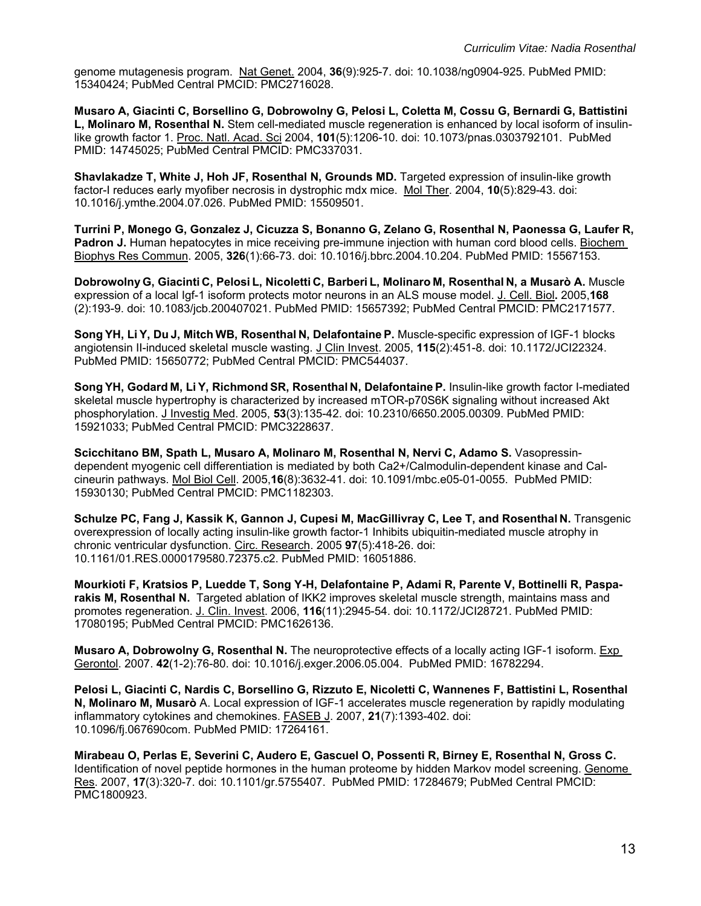genome mutagenesis program. Nat Genet. 2004, **36**(9):925-7. doi: 10.1038/ng0904-925. PubMed PMID: 15340424; PubMed Central PMCID: PMC2716028.

**Musaro A, Giacinti C, Borsellino G, Dobrowolny G, Pelosi L, Coletta M, Cossu G, Bernardi G, Battistini L, Molinaro M, Rosenthal N.** Stem cell-mediated muscle regeneration is enhanced by local isoform of insulinlike growth factor 1. Proc. Natl. Acad. Sci 2004, **101**(5):1206-10. doi: 10.1073/pnas.0303792101. PubMed PMID: 14745025; PubMed Central PMCID: PMC337031.

**Shavlakadze T, White J, Hoh JF, Rosenthal N, Grounds MD.** Targeted expression of insulin-like growth factor-I reduces early myofiber necrosis in dystrophic mdx mice. Mol Ther. 2004, **10**(5):829-43. doi: 10.1016/j.ymthe.2004.07.026. PubMed PMID: 15509501.

**Turrini P, Monego G, Gonzalez J, Cicuzza S, Bonanno G, Zelano G, Rosenthal N, Paonessa G, Laufer R, Padron J.** Human hepatocytes in mice receiving pre-immune injection with human cord blood cells. Biochem Biophys Res Commun. 2005, **326**(1):66-73. doi: 10.1016/j.bbrc.2004.10.204. PubMed PMID: 15567153.

**Dobrowolny G, Giacinti C, Pelosi L, Nicoletti C, Barberi L, Molinaro M, Rosenthal N, a Musarò A.** Muscle expression of a local Igf-1 isoform protects motor neurons in an ALS mouse model. J. Cell. Biol**.** 2005,**168** (2):193-9. doi: 10.1083/jcb.200407021. PubMed PMID: 15657392; PubMed Central PMCID: PMC2171577.

**Song YH, Li Y, Du J, Mitch WB, Rosenthal N, Delafontaine P.** Muscle-specific expression of IGF-1 blocks angiotensin II-induced skeletal muscle wasting. J Clin Invest. 2005, **115**(2):451-8. doi: 10.1172/JCI22324. PubMed PMID: 15650772; PubMed Central PMCID: PMC544037.

**Song YH, Godard M, Li Y, Richmond SR, Rosenthal N, Delafontaine P.** Insulin-like growth factor I-mediated skeletal muscle hypertrophy is characterized by increased mTOR-p70S6K signaling without increased Akt phosphorylation. J Investig Med. 2005, **53**(3):135-42. doi: 10.2310/6650.2005.00309. PubMed PMID: 15921033; PubMed Central PMCID: PMC3228637.

**Scicchitano BM, Spath L, Musaro A, Molinaro M, Rosenthal N, Nervi C, Adamo S.** Vasopressindependent myogenic cell differentiation is mediated by both Ca2+/Calmodulin-dependent kinase and Calcineurin pathways. Mol Biol Cell. 2005,**16**(8):3632-41. doi: 10.1091/mbc.e05-01-0055. PubMed PMID: 15930130; PubMed Central PMCID: PMC1182303.

**Schulze PC, Fang J, Kassik K, Gannon J, Cupesi M, MacGillivray C, Lee T, and Rosenthal N.** Transgenic overexpression of locally acting insulin-like growth factor-1 Inhibits ubiquitin-mediated muscle atrophy in chronic ventricular dysfunction. Circ. Research. 2005 **97**(5):418-26. doi: 10.1161/01.RES.0000179580.72375.c2. PubMed PMID: 16051886.

**Mourkioti F, Kratsios P, Luedde T, Song Y-H, Delafontaine P, Adami R, Parente V, Bottinelli R, Pasparakis M, Rosenthal N.** Targeted ablation of IKK2 improves skeletal muscle strength, maintains mass and promotes regeneration. J. Clin. Invest. 2006, **116**(11):2945-54. doi: 10.1172/JCI28721. PubMed PMID: 17080195; PubMed Central PMCID: PMC1626136.

**Musaro A, Dobrowolny G, Rosenthal N.** The neuroprotective effects of a locally acting IGF-1 isoform. Exp Gerontol. 2007. **42**(1-2):76-80. doi: 10.1016/j.exger.2006.05.004. PubMed PMID: 16782294.

**Pelosi L, Giacinti C, Nardis C, Borsellino G, Rizzuto E, Nicoletti C, Wannenes F, Battistini L, Rosenthal N, Molinaro M, Musarò** A. Local expression of IGF-1 accelerates muscle regeneration by rapidly modulating inflammatory cytokines and chemokines. FASEB J. 2007, **21**(7):1393-402. doi: 10.1096/fj.067690com. PubMed PMID: 17264161.

**Mirabeau O, Perlas E, Severini C, Audero E, Gascuel O, Possenti R, Birney E, Rosenthal N, Gross C.** Identification of novel peptide hormones in the human proteome by hidden Markov model screening. Genome Res. 2007, **17**(3):320-7. doi: 10.1101/gr.5755407. PubMed PMID: 17284679; PubMed Central PMCID: PMC1800923.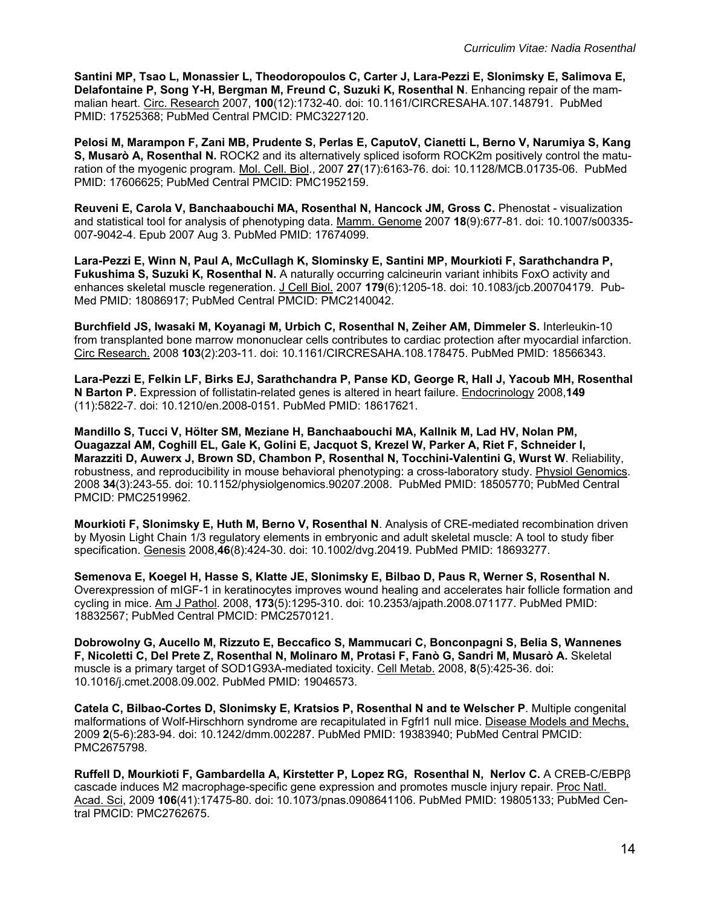**Santini MP, Tsao L, Monassier L, Theodoropoulos C, Carter J, Lara-Pezzi E, Slonimsky E, Salimova E, Delafontaine P, Song Y-H, Bergman M, Freund C, Suzuki K, Rosenthal N**. Enhancing repair of the mammalian heart. Circ. Research 2007, **100**(12):1732-40. doi: 10.1161/CIRCRESAHA.107.148791. PubMed PMID: 17525368; PubMed Central PMCID: PMC3227120.

**Pelosi M, Marampon F, Zani MB, Prudente S, Perlas E, CaputoV, Cianetti L, Berno V, Narumiya S, Kang S, Musarò A, Rosenthal N.** ROCK2 and its alternatively spliced isoform ROCK2m positively control the maturation of the myogenic program. Mol. Cell. Biol., 2007 **27**(17):6163-76. doi: 10.1128/MCB.01735-06. PubMed PMID: 17606625; PubMed Central PMCID: PMC1952159.

**Reuveni E, Carola V, Banchaabouchi MA, Rosenthal N, Hancock JM, Gross C.** Phenostat - visualization and statistical tool for analysis of phenotyping data. Mamm. Genome 2007 **18**(9):677-81. doi: 10.1007/s00335- 007-9042-4. Epub 2007 Aug 3. PubMed PMID: 17674099.

**Lara-Pezzi E, Winn N, Paul A, McCullagh K, Slominsky E, Santini MP, Mourkioti F, Sarathchandra P, Fukushima S, Suzuki K, Rosenthal N.** A naturally occurring calcineurin variant inhibits FoxO activity and enhances skeletal muscle regeneration. J Cell Biol. 2007 **179**(6):1205-18. doi: 10.1083/jcb.200704179. Pub-Med PMID: 18086917; PubMed Central PMCID: PMC2140042.

**Burchfield JS, Iwasaki M, Koyanagi M, Urbich C, Rosenthal N, Zeiher AM, Dimmeler S.** Interleukin-10 from transplanted bone marrow mononuclear cells contributes to cardiac protection after myocardial infarction. Circ Research. 2008 **103**(2):203-11. doi: 10.1161/CIRCRESAHA.108.178475. PubMed PMID: 18566343.

**Lara-Pezzi E, Felkin LF, Birks EJ, Sarathchandra P, Panse KD, George R, Hall J, Yacoub MH, Rosenthal N Barton P.** Expression of follistatin-related genes is altered in heart failure. Endocrinology 2008,**149** (11):5822-7. doi: 10.1210/en.2008-0151. PubMed PMID: 18617621.

**Mandillo S, Tucci V, Hölter SM, Meziane H, Banchaabouchi MA, Kallnik M, Lad HV, Nolan PM, Ouagazzal AM, Coghill EL, Gale K, Golini E, Jacquot S, Krezel W, Parker A, Riet F, Schneider I, Marazziti D, Auwerx J, Brown SD, Chambon P, Rosenthal N, Tocchini-Valentini G, Wurst W**. Reliability, robustness, and reproducibility in mouse behavioral phenotyping: a cross-laboratory study. Physiol Genomics. 2008 **34**(3):243-55. doi: 10.1152/physiolgenomics.90207.2008. PubMed PMID: 18505770; PubMed Central PMCID: PMC2519962.

**Mourkioti F, Slonimsky E, Huth M, Berno V, Rosenthal N**. Analysis of CRE-mediated recombination driven by Myosin Light Chain 1/3 regulatory elements in embryonic and adult skeletal muscle: A tool to study fiber specification. Genesis 2008,**46**(8):424-30. doi: 10.1002/dvg.20419. PubMed PMID: 18693277.

**Semenova E, Koegel H, Hasse S, Klatte JE, Slonimsky E, Bilbao D, Paus R, Werner S, Rosenthal N.** Overexpression of mIGF-1 in keratinocytes improves wound healing and accelerates hair follicle formation and cycling in mice. Am J Pathol. 2008, **173**(5):1295-310. doi: 10.2353/ajpath.2008.071177. PubMed PMID: 18832567; PubMed Central PMCID: PMC2570121.

**Dobrowolny G, Aucello M, Rizzuto E, Beccafico S, Mammucari C, Bonconpagni S, Belia S, Wannenes F, Nicoletti C, Del Prete Z, Rosenthal N, Molinaro M, Protasi F, Fanò G, Sandri M, Musarò A.** Skeletal muscle is a primary target of SOD1G93A-mediated toxicity. Cell Metab. 2008, **8**(5):425-36. doi: 10.1016/j.cmet.2008.09.002. PubMed PMID: 19046573.

**Catela C, Bilbao-Cortes D, Slonimsky E, Kratsios P, Rosenthal N and te Welscher P**. Multiple congenital malformations of Wolf-Hirschhorn syndrome are recapitulated in Fgfrl1 null mice. Disease Models and Mechs, 2009 **2**(5-6):283-94. doi: 10.1242/dmm.002287. PubMed PMID: 19383940; PubMed Central PMCID: PMC2675798.

**Ruffell D, Mourkioti F, Gambardella A, Kirstetter P, Lopez RG, Rosenthal N, Nerlov C.** A CREB-C/EBPβ cascade induces M2 macrophage-specific gene expression and promotes muscle injury repair. Proc Natl. Acad. Sci, 2009 **106**(41):17475-80. doi: 10.1073/pnas.0908641106. PubMed PMID: 19805133; PubMed Central PMCID: PMC2762675.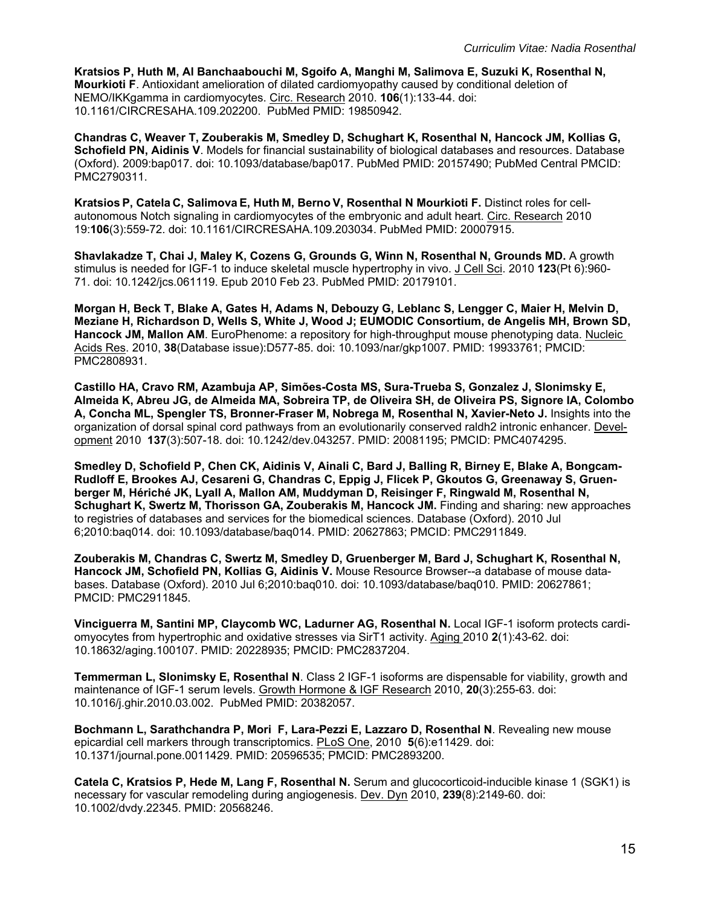**Kratsios P, Huth M, Al Banchaabouchi M, Sgoifo A, Manghi M, Salimova E, Suzuki K, Rosenthal N, Mourkioti F**. Antioxidant amelioration of dilated cardiomyopathy caused by conditional deletion of NEMO/IKKgamma in cardiomyocytes. Circ. Research 2010. **106**(1):133-44. doi: 10.1161/CIRCRESAHA.109.202200. PubMed PMID: 19850942.

**Chandras C, Weaver T, Zouberakis M, Smedley D, Schughart K, Rosenthal N, Hancock JM, Kollias G, Schofield PN, Aidinis V**. Models for financial sustainability of biological databases and resources. Database (Oxford). 2009:bap017. doi: 10.1093/database/bap017. PubMed PMID: 20157490; PubMed Central PMCID: PMC2790311.

**Kratsios P, Catela C, Salimova E, Huth M, Berno V, Rosenthal N Mourkioti F.** Distinct roles for cellautonomous Notch signaling in cardiomyocytes of the embryonic and adult heart. Circ. Research 2010 19:**106**(3):559-72. doi: 10.1161/CIRCRESAHA.109.203034. PubMed PMID: 20007915.

**Shavlakadze T, Chai J, Maley K, Cozens G, Grounds G, Winn N, Rosenthal N, Grounds MD.** A growth stimulus is needed for IGF-1 to induce skeletal muscle hypertrophy in vivo. J Cell Sci. 2010 **123**(Pt 6):960- 71. doi: 10.1242/jcs.061119. Epub 2010 Feb 23. PubMed PMID: 20179101.

**Morgan H, Beck T, Blake A, Gates H, Adams N, Debouzy G, Leblanc S, Lengger C, Maier H, Melvin D, Meziane H, Richardson D, Wells S, White J, Wood J; EUMODIC Consortium, de Angelis MH, Brown SD, Hancock JM, Mallon AM**. EuroPhenome: a repository for high-throughput mouse phenotyping data. Nucleic Acids Res. 2010, **38**(Database issue):D577-85. doi: 10.1093/nar/gkp1007. PMID: 19933761; PMCID: PMC2808931.

**Castillo HA, Cravo RM, Azambuja AP, Simões-Costa MS, Sura-Trueba S, Gonzalez J, Slonimsky E, Almeida K, Abreu JG, de Almeida MA, Sobreira TP, de Oliveira SH, de Oliveira PS, Signore IA, Colombo A, Concha ML, Spengler TS, Bronner-Fraser M, Nobrega M, Rosenthal N, Xavier-Neto J.** Insights into the organization of dorsal spinal cord pathways from an evolutionarily conserved raldh2 intronic enhancer. Development 2010 **137**(3):507-18. doi: 10.1242/dev.043257. PMID: 20081195; PMCID: PMC4074295.

**Smedley D, Schofield P, Chen CK, Aidinis V, Ainali C, Bard J, Balling R, Birney E, Blake A, Bongcam-Rudloff E, Brookes AJ, Cesareni G, Chandras C, Eppig J, Flicek P, Gkoutos G, Greenaway S, Gruenberger M, Hériché JK, Lyall A, Mallon AM, Muddyman D, Reisinger F, Ringwald M, Rosenthal N, Schughart K, Swertz M, Thorisson GA, Zouberakis M, Hancock JM.** Finding and sharing: new approaches to registries of databases and services for the biomedical sciences. Database (Oxford). 2010 Jul 6;2010:baq014. doi: 10.1093/database/baq014. PMID: 20627863; PMCID: PMC2911849.

**Zouberakis M, Chandras C, Swertz M, Smedley D, Gruenberger M, Bard J, Schughart K, Rosenthal N, Hancock JM, Schofield PN, Kollias G, Aidinis V.** Mouse Resource Browser--a database of mouse databases. Database (Oxford). 2010 Jul 6;2010:baq010. doi: 10.1093/database/baq010. PMID: 20627861; PMCID: PMC2911845.

**Vinciguerra M, Santini MP, Claycomb WC, Ladurner AG, Rosenthal N.** Local IGF-1 isoform protects cardiomyocytes from hypertrophic and oxidative stresses via SirT1 activity. Aging 2010 **2**(1):43-62. doi: 10.18632/aging.100107. PMID: 20228935; PMCID: PMC2837204.

**Temmerman L, Slonimsky E, Rosenthal N**. Class 2 IGF-1 isoforms are dispensable for viability, growth and maintenance of IGF-1 serum levels. Growth Hormone & IGF Research 2010, **20**(3):255-63. doi: 10.1016/j.ghir.2010.03.002. PubMed PMID: 20382057.

**Bochmann L, Sarathchandra P, Mori F, Lara-Pezzi E, Lazzaro D, Rosenthal N**. Revealing new mouse epicardial cell markers through transcriptomics. PLoS One, 2010 **5**(6):e11429. doi: 10.1371/journal.pone.0011429. PMID: 20596535; PMCID: PMC2893200.

**Catela C, Kratsios P, Hede M, Lang F, Rosenthal N.** Serum and glucocorticoid-inducible kinase 1 (SGK1) is necessary for vascular remodeling during angiogenesis. Dev. Dyn 2010, **239**(8):2149-60. doi: 10.1002/dvdy.22345. PMID: 20568246.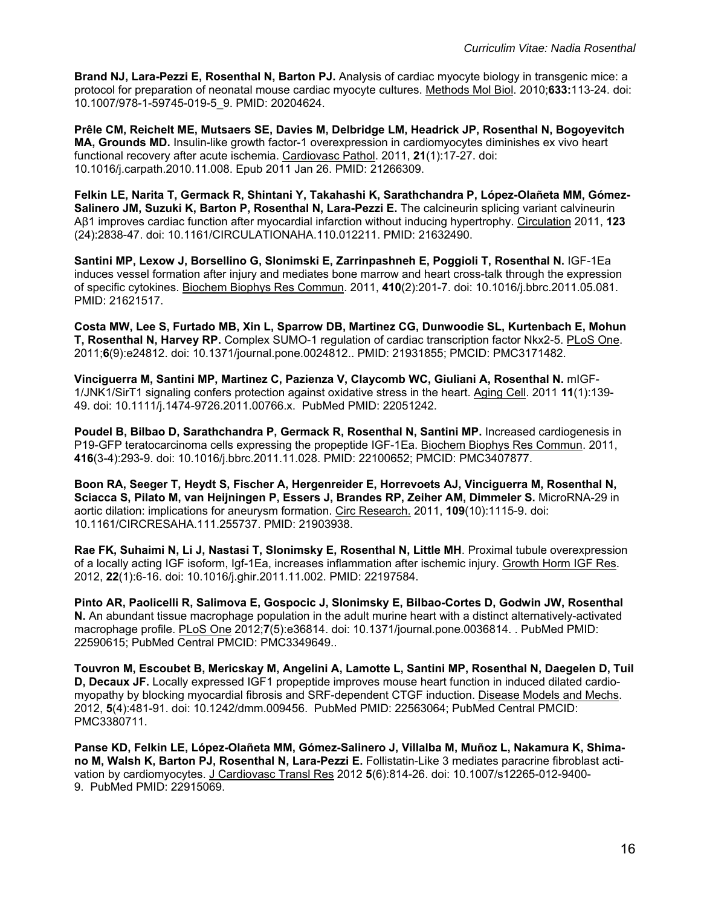**Brand NJ, Lara-Pezzi E, Rosenthal N, Barton PJ.** Analysis of cardiac myocyte biology in transgenic mice: a protocol for preparation of neonatal mouse cardiac myocyte cultures. Methods Mol Biol. 2010;**633:**113-24. doi: 10.1007/978-1-59745-019-5\_9. PMID: 20204624.

**Prêle CM, Reichelt ME, Mutsaers SE, Davies M, Delbridge LM, Headrick JP, Rosenthal N, Bogoyevitch MA, Grounds MD.** Insulin-like growth factor-1 overexpression in cardiomyocytes diminishes ex vivo heart functional recovery after acute ischemia. Cardiovasc Pathol. 2011, **21**(1):17-27. doi: 10.1016/j.carpath.2010.11.008. Epub 2011 Jan 26. PMID: 21266309.

**Felkin LE, Narita T, Germack R, Shintani Y, Takahashi K, Sarathchandra P, López-Olañeta MM, Gómez-Salinero JM, Suzuki K, Barton P, Rosenthal N, Lara-Pezzi E.** The calcineurin splicing variant calvineurin Aβ1 improves cardiac function after myocardial infarction without inducing hypertrophy. Circulation 2011, **123** (24):2838-47. doi: 10.1161/CIRCULATIONAHA.110.012211. PMID: 21632490.

**Santini MP, Lexow J, Borsellino G, Slonimski E, Zarrinpashneh E, Poggioli T, Rosenthal N.** IGF-1Ea induces vessel formation after injury and mediates bone marrow and heart cross-talk through the expression of specific cytokines. Biochem Biophys Res Commun. 2011, **410**(2):201-7. doi: 10.1016/j.bbrc.2011.05.081. PMID: 21621517.

**Costa MW, Lee S, Furtado MB, Xin L, Sparrow DB, Martinez CG, Dunwoodie SL, Kurtenbach E, Mohun T, Rosenthal N, Harvey RP.** Complex SUMO-1 regulation of cardiac transcription factor Nkx2-5. PLoS One. 2011;**6**(9):e24812. doi: 10.1371/journal.pone.0024812.. PMID: 21931855; PMCID: PMC3171482.

**Vinciguerra M, Santini MP, Martinez C, Pazienza V, Claycomb WC, Giuliani A, Rosenthal N.** mIGF-1/JNK1/SirT1 signaling confers protection against oxidative stress in the heart. Aging Cell. 2011 **11**(1):139- 49. doi: 10.1111/j.1474-9726.2011.00766.x. PubMed PMID: 22051242.

**Poudel B, Bilbao D, Sarathchandra P, Germack R, Rosenthal N, Santini MP.** Increased cardiogenesis in P19-GFP teratocarcinoma cells expressing the propeptide IGF-1Ea. Biochem Biophys Res Commun. 2011, **416**(3-4):293-9. doi: 10.1016/j.bbrc.2011.11.028. PMID: 22100652; PMCID: PMC3407877.

**Boon RA, Seeger T, Heydt S, Fischer A, Hergenreider E, Horrevoets AJ, Vinciguerra M, Rosenthal N, Sciacca S, Pilato M, van Heijningen P, Essers J, Brandes RP, Zeiher AM, Dimmeler S.** MicroRNA-29 in aortic dilation: implications for aneurysm formation. Circ Research. 2011, **109**(10):1115-9. doi: 10.1161/CIRCRESAHA.111.255737. PMID: 21903938.

**Rae FK, Suhaimi N, Li J, Nastasi T, Slonimsky E, Rosenthal N, Little MH**. Proximal tubule overexpression of a locally acting IGF isoform, Igf-1Ea, increases inflammation after ischemic injury. Growth Horm IGF Res. 2012, **22**(1):6-16. doi: 10.1016/j.ghir.2011.11.002. PMID: 22197584.

**Pinto AR, Paolicelli R, Salimova E, Gospocic J, Slonimsky E, Bilbao-Cortes D, Godwin JW, Rosenthal N.** An abundant tissue macrophage population in the adult murine heart with a distinct alternatively-activated macrophage profile. PLoS One 2012;**7**(5):e36814. doi: 10.1371/journal.pone.0036814. . PubMed PMID: 22590615; PubMed Central PMCID: PMC3349649..

**Touvron M, Escoubet B, Mericskay M, Angelini A, Lamotte L, Santini MP, Rosenthal N, Daegelen D, Tuil D, Decaux JF.** Locally expressed IGF1 propeptide improves mouse heart function in induced dilated cardiomyopathy by blocking myocardial fibrosis and SRF-dependent CTGF induction. Disease Models and Mechs. 2012, **5**(4):481-91. doi: 10.1242/dmm.009456. PubMed PMID: 22563064; PubMed Central PMCID: PMC3380711.

**Panse KD, Felkin LE, López-Olañeta MM, Gómez-Salinero J, Villalba M, Muñoz L, Nakamura K, Shimano M, Walsh K, Barton PJ, Rosenthal N, Lara-Pezzi E.** Follistatin-Like 3 mediates paracrine fibroblast activation by cardiomyocytes. J Cardiovasc Transl Res 2012 **5**(6):814-26. doi: 10.1007/s12265-012-9400- 9. PubMed PMID: 22915069.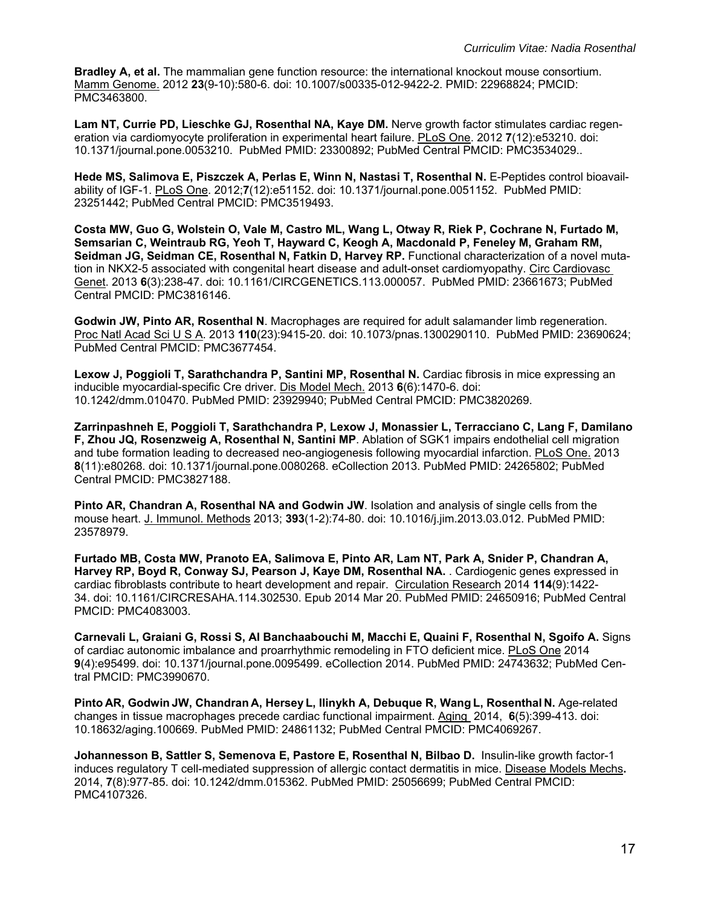**Bradley A, et al.** The mammalian gene function resource: the international knockout mouse consortium. Mamm Genome. 2012 **23**(9-10):580-6. doi: 10.1007/s00335-012-9422-2. PMID: 22968824; PMCID: PMC3463800.

**Lam NT, Currie PD, Lieschke GJ, Rosenthal NA, Kaye DM.** Nerve growth factor stimulates cardiac regeneration via cardiomyocyte proliferation in experimental heart failure. PLoS One. 2012 **7**(12):e53210. doi: 10.1371/journal.pone.0053210. PubMed PMID: 23300892; PubMed Central PMCID: PMC3534029..

**Hede MS, Salimova E, Piszczek A, Perlas E, Winn N, Nastasi T, Rosenthal N.** E-Peptides control bioavailability of IGF-1. PLoS One. 2012;**7**(12):e51152. doi: 10.1371/journal.pone.0051152. PubMed PMID: 23251442; PubMed Central PMCID: PMC3519493.

**Costa MW, Guo G, Wolstein O, Vale M, Castro ML, Wang L, Otway R, Riek P, Cochrane N, Furtado M, Semsarian C, Weintraub RG, Yeoh T, Hayward C, Keogh A, Macdonald P, Feneley M, Graham RM, Seidman JG, Seidman CE, Rosenthal N, Fatkin D, Harvey RP.** Functional characterization of a novel mutation in NKX2-5 associated with congenital heart disease and adult-onset cardiomyopathy. Circ Cardiovasc Genet. 2013 **6**(3):238-47. doi: 10.1161/CIRCGENETICS.113.000057. PubMed PMID: 23661673; PubMed Central PMCID: PMC3816146.

**Godwin JW, Pinto AR, Rosenthal N**. Macrophages are required for adult salamander limb regeneration. Proc Natl Acad Sci U S A. 2013 **110**(23):9415-20. doi: 10.1073/pnas.1300290110. PubMed PMID: 23690624; PubMed Central PMCID: PMC3677454.

**Lexow J, Poggioli T, Sarathchandra P, Santini MP, Rosenthal N.** Cardiac fibrosis in mice expressing an inducible myocardial-specific Cre driver. Dis Model Mech. 2013 **6**(6):1470-6. doi: 10.1242/dmm.010470. PubMed PMID: 23929940; PubMed Central PMCID: PMC3820269.

**Zarrinpashneh E, Poggioli T, Sarathchandra P, Lexow J, Monassier L, Terracciano C, Lang F, Damilano F, Zhou JQ, Rosenzweig A, Rosenthal N, Santini MP**. Ablation of SGK1 impairs endothelial cell migration and tube formation leading to decreased neo-angiogenesis following myocardial infarction. PLoS One. 2013 **8**(11):e80268. doi: 10.1371/journal.pone.0080268. eCollection 2013. PubMed PMID: 24265802; PubMed Central PMCID: PMC3827188.

**Pinto AR, Chandran A, Rosenthal NA and Godwin JW**. Isolation and analysis of single cells from the mouse heart. J. Immunol. Methods 2013; **393**(1-2):74-80. doi: 10.1016/j.jim.2013.03.012. PubMed PMID: 23578979.

**Furtado MB, Costa MW, Pranoto EA, Salimova E, Pinto AR, Lam NT, Park A, Snider P, Chandran A, Harvey RP, Boyd R, Conway SJ, Pearson J, Kaye DM, Rosenthal NA.** . Cardiogenic genes expressed in cardiac fibroblasts contribute to heart development and repair. Circulation Research 2014 **114**(9):1422- 34. doi: 10.1161/CIRCRESAHA.114.302530. Epub 2014 Mar 20. PubMed PMID: 24650916; PubMed Central PMCID: PMC4083003.

**Carnevali L, Graiani G, Rossi S, Al Banchaabouchi M, Macchi E, Quaini F, Rosenthal N, Sgoifo A.** Signs of cardiac autonomic imbalance and proarrhythmic remodeling in FTO deficient mice. PLoS One 2014 **9**(4):e95499. doi: 10.1371/journal.pone.0095499. eCollection 2014. PubMed PMID: 24743632; PubMed Central PMCID: PMC3990670.

**Pinto AR, Godwin JW, Chandran A, Hersey L, Ilinykh A, Debuque R, Wang L, Rosenthal N.** Age-related changes in tissue macrophages precede cardiac functional impairment. Aging 2014, **6**(5):399-413. doi: 10.18632/aging.100669. PubMed PMID: 24861132; PubMed Central PMCID: PMC4069267.

**Johannesson B, Sattler S, Semenova E, Pastore E, Rosenthal N, Bilbao D.** Insulin-like growth factor-1 induces regulatory T cell-mediated suppression of allergic contact dermatitis in mice. Disease Models Mechs**.**  2014, **7**(8):977-85. doi: 10.1242/dmm.015362. PubMed PMID: 25056699; PubMed Central PMCID: PMC4107326.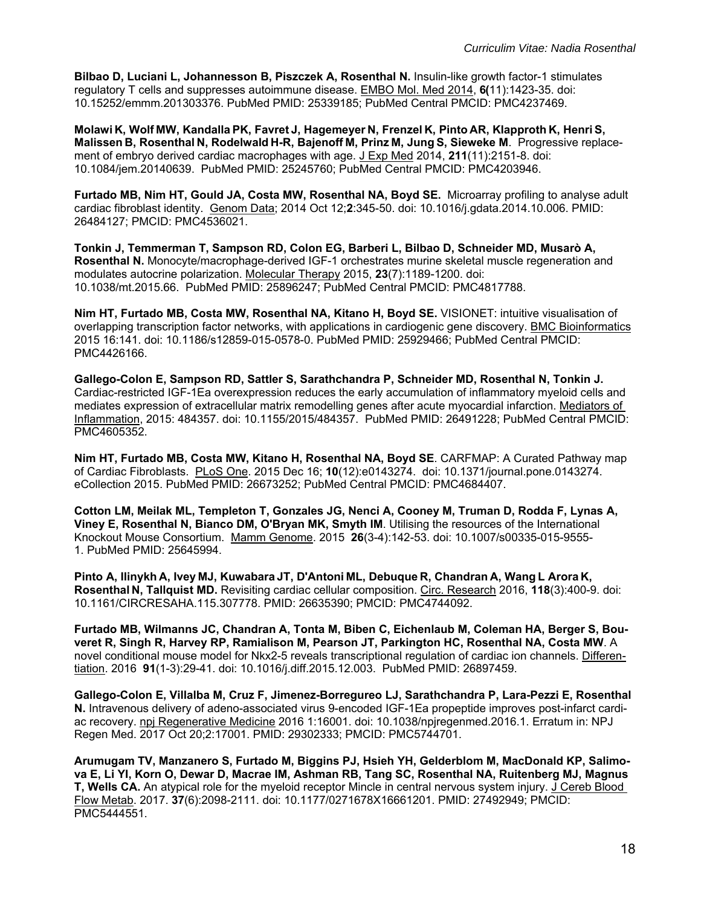**Bilbao D, Luciani L, Johannesson B, Piszczek A, Rosenthal N.** Insulin-like growth factor-1 stimulates regulatory T cells and suppresses autoimmune disease. EMBO Mol. Med 2014, **6(**11):1423-35. doi: 10.15252/emmm.201303376. PubMed PMID: 25339185; PubMed Central PMCID: PMC4237469.

**Molawi K, Wolf MW, Kandalla PK, Favret J, Hagemeyer N, Frenzel K, Pinto AR, Klapproth K, Henri S, Malissen B, Rosenthal N, Rodelwald H-R, Bajenoff M, Prinz M, Jung S, Sieweke M**. Progressive replacement of embryo derived cardiac macrophages with age. J Exp Med 2014, **211**(11):2151-8. doi: 10.1084/jem.20140639. PubMed PMID: 25245760; PubMed Central PMCID: PMC4203946.

**Furtado MB, Nim HT, Gould JA, Costa MW, Rosenthal NA, Boyd SE.** Microarray profiling to analyse adult cardiac fibroblast identity. Genom Data; 2014 Oct 12;**2**:345-50. doi: 10.1016/j.gdata.2014.10.006. PMID: 26484127; PMCID: PMC4536021.

**Tonkin J, Temmerman T, Sampson RD, Colon EG, Barberi L, Bilbao D, Schneider MD, Musarò A, Rosenthal N.** Monocyte/macrophage-derived IGF-1 orchestrates murine skeletal muscle regeneration and modulates autocrine polarization. Molecular Therapy 2015, **23**(7):1189-1200. doi: 10.1038/mt.2015.66. PubMed PMID: 25896247; PubMed Central PMCID: PMC4817788.

**Nim HT, Furtado MB, Costa MW, Rosenthal NA, Kitano H, Boyd SE.** VISIONET: intuitive visualisation of overlapping transcription factor networks, with applications in cardiogenic gene discovery. BMC Bioinformatics 2015 16:141. doi: 10.1186/s12859-015-0578-0. PubMed PMID: 25929466; PubMed Central PMCID: PMC4426166.

**Gallego-Colon E, Sampson RD, Sattler S, Sarathchandra P, Schneider MD, Rosenthal N, Tonkin J.**  Cardiac-restricted IGF-1Ea overexpression reduces the early accumulation of inflammatory myeloid cells and mediates expression of extracellular matrix remodelling genes after acute myocardial infarction. Mediators of Inflammation, 2015: 484357. doi: 10.1155/2015/484357. PubMed PMID: 26491228; PubMed Central PMCID: PMC4605352.

**Nim HT, Furtado MB, Costa MW, Kitano H, Rosenthal NA, Boyd SE**. CARFMAP: A Curated Pathway map of Cardiac Fibroblasts. PLoS One. 2015 Dec 16; **10**(12):e0143274. doi: 10.1371/journal.pone.0143274. eCollection 2015. PubMed PMID: 26673252; PubMed Central PMCID: PMC4684407.

**Cotton LM, Meilak ML, Templeton T, Gonzales JG, Nenci A, Cooney M, Truman D, Rodda F, Lynas A, Viney E, Rosenthal N, Bianco DM, O'Bryan MK, Smyth IM**. Utilising the resources of the International Knockout Mouse Consortium. Mamm Genome. 2015 **26**(3-4):142-53. doi: 10.1007/s00335-015-9555- 1. PubMed PMID: 25645994.

**Pinto A, Ilinykh A, Ivey MJ, Kuwabara JT, D'Antoni ML, Debuque R, Chandran A, Wang L Arora K, Rosenthal N, Tallquist MD.** Revisiting cardiac cellular composition. Circ. Research 2016, **118**(3):400-9. doi: 10.1161/CIRCRESAHA.115.307778. PMID: 26635390; PMCID: PMC4744092.

**Furtado MB, Wilmanns JC, Chandran A, Tonta M, Biben C, Eichenlaub M, Coleman HA, Berger S, Bouveret R, Singh R, Harvey RP, Ramialison M, Pearson JT, Parkington HC, Rosenthal NA, Costa MW**. A novel conditional mouse model for Nkx2-5 reveals transcriptional regulation of cardiac ion channels. Differentiation. 2016 **91**(1-3):29-41. doi: 10.1016/j.diff.2015.12.003. PubMed PMID: 26897459.

**Gallego-Colon E, Villalba M, Cruz F, Jimenez-Borregureo LJ, Sarathchandra P, Lara-Pezzi E, Rosenthal N.** Intravenous delivery of adeno-associated virus 9-encoded IGF-1Ea propeptide improves post-infarct cardiac recovery. npj Regenerative Medicine 2016 1:16001. doi: 10.1038/npjregenmed.2016.1. Erratum in: NPJ Regen Med. 2017 Oct 20;2:17001. PMID: 29302333; PMCID: PMC5744701.

**Arumugam TV, Manzanero S, Furtado M, Biggins PJ, Hsieh YH, Gelderblom M, MacDonald KP, Salimova E, Li YI, Korn O, Dewar D, Macrae IM, Ashman RB, Tang SC, Rosenthal NA, Ruitenberg MJ, Magnus T, Wells CA.** An atypical role for the myeloid receptor Mincle in central nervous system injury. J Cereb Blood Flow Metab. 2017. **37**(6):2098-2111. doi: 10.1177/0271678X16661201. PMID: 27492949; PMCID: PMC5444551.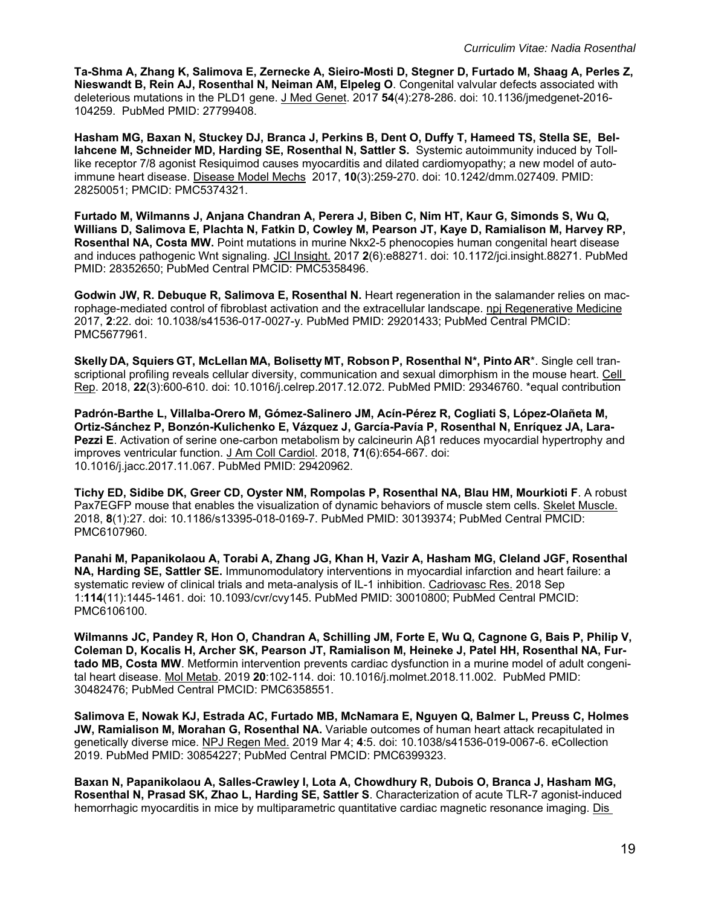**Ta-Shma A, Zhang K, Salimova E, Zernecke A, Sieiro-Mosti D, Stegner D, Furtado M, Shaag A, Perles Z, Nieswandt B, Rein AJ, Rosenthal N, Neiman AM, Elpeleg O**. Congenital valvular defects associated with deleterious mutations in the PLD1 gene. J Med Genet. 2017 **54**(4):278-286. doi: 10.1136/jmedgenet-2016- 104259. PubMed PMID: 27799408.

**Hasham MG, Baxan N, Stuckey DJ, Branca J, Perkins B, Dent O, Duffy T, Hameed TS, Stella SE, Bellahcene M, Schneider MD, Harding SE, Rosenthal N, Sattler S.** Systemic autoimmunity induced by Tolllike receptor 7/8 agonist Resiquimod causes myocarditis and dilated cardiomyopathy; a new model of autoimmune heart disease. Disease Model Mechs 2017, **10**(3):259-270. doi: 10.1242/dmm.027409. PMID: 28250051; PMCID: PMC5374321.

**Furtado M, Wilmanns J, Anjana Chandran A, Perera J, Biben C, Nim HT, Kaur G, Simonds S, Wu Q, Willians D, Salimova E, Plachta N, Fatkin D, Cowley M, Pearson JT, Kaye D, Ramialison M, Harvey RP, Rosenthal NA, Costa MW.** Point mutations in murine Nkx2-5 phenocopies human congenital heart disease and induces pathogenic Wnt signaling. JCI Insight. 2017 **2**(6):e88271. doi: 10.1172/jci.insight.88271. PubMed PMID: 28352650; PubMed Central PMCID: PMC5358496.

**Godwin JW, R. Debuque R, Salimova E, Rosenthal N.** Heart regeneration in the salamander relies on macrophage-mediated control of fibroblast activation and the extracellular landscape. npj Regenerative Medicine 2017, **2**:22. doi: 10.1038/s41536-017-0027-y. PubMed PMID: 29201433; PubMed Central PMCID: PMC5677961.

**Skelly DA, Squiers GT, McLellan MA, Bolisetty MT, Robson P, Rosenthal N\*, Pinto AR**\*. Single cell transcriptional profiling reveals cellular diversity, communication and sexual dimorphism in the mouse heart. Cell Rep. 2018, **22**(3):600-610. doi: 10.1016/j.celrep.2017.12.072. PubMed PMID: 29346760. \*equal contribution

**Padrón-Barthe L, Villalba-Orero M, Gómez-Salinero JM, Acín-Pérez R, Cogliati S, López-Olañeta M, Ortiz-Sánchez P, Bonzón-Kulichenko E, Vázquez J, García-Pavía P, Rosenthal N, Enríquez JA, Lara-Pezzi E**. Activation of serine one-carbon metabolism by calcineurin Aβ1 reduces myocardial hypertrophy and improves ventricular function. J Am Coll Cardiol. 2018, **71**(6):654-667. doi: 10.1016/j.jacc.2017.11.067. PubMed PMID: 29420962.

**Tichy ED, Sidibe DK, Greer CD, Oyster NM, Rompolas P, Rosenthal NA, Blau HM, Mourkioti F**. A robust Pax7EGFP mouse that enables the visualization of dynamic behaviors of muscle stem cells. Skelet Muscle. 2018, **8**(1):27. doi: 10.1186/s13395-018-0169-7. PubMed PMID: 30139374; PubMed Central PMCID: PMC6107960.

**Panahi M, Papanikolaou A, Torabi A, Zhang JG, Khan H, Vazir A, Hasham MG, Cleland JGF, Rosenthal NA, Harding SE, Sattler SE.** Immunomodulatory interventions in myocardial infarction and heart failure: a systematic review of clinical trials and meta-analysis of IL-1 inhibition. Cadriovasc Res. 2018 Sep 1:**114**(11):1445-1461. doi: 10.1093/cvr/cvy145. PubMed PMID: 30010800; PubMed Central PMCID: PMC6106100.

**Wilmanns JC, Pandey R, Hon O, Chandran A, Schilling JM, Forte E, Wu Q, Cagnone G, Bais P, Philip V, Coleman D, Kocalis H, Archer SK, Pearson JT, Ramialison M, Heineke J, Patel HH, Rosenthal NA, Furtado MB, Costa MW**. Metformin intervention prevents cardiac dysfunction in a murine model of adult congenital heart disease. Mol Metab. 2019 **20**:102-114. doi: 10.1016/j.molmet.2018.11.002. PubMed PMID: 30482476; PubMed Central PMCID: PMC6358551.

**Salimova E, Nowak KJ, Estrada AC, Furtado MB, McNamara E, Nguyen Q, Balmer L, Preuss C, Holmes JW, Ramialison M, Morahan G, Rosenthal NA.** Variable outcomes of human heart attack recapitulated in genetically diverse mice. NPJ Regen Med. 2019 Mar 4; **4**:5. doi: 10.1038/s41536-019-0067-6. eCollection 2019. PubMed PMID: 30854227; PubMed Central PMCID: PMC6399323.

**Baxan N, Papanikolaou A, Salles-Crawley I, Lota A, Chowdhury R, Dubois O, Branca J, Hasham MG, Rosenthal N, Prasad SK, Zhao L, Harding SE, Sattler S**. Characterization of acute TLR-7 agonist-induced hemorrhagic myocarditis in mice by multiparametric quantitative cardiac magnetic resonance imaging. Dis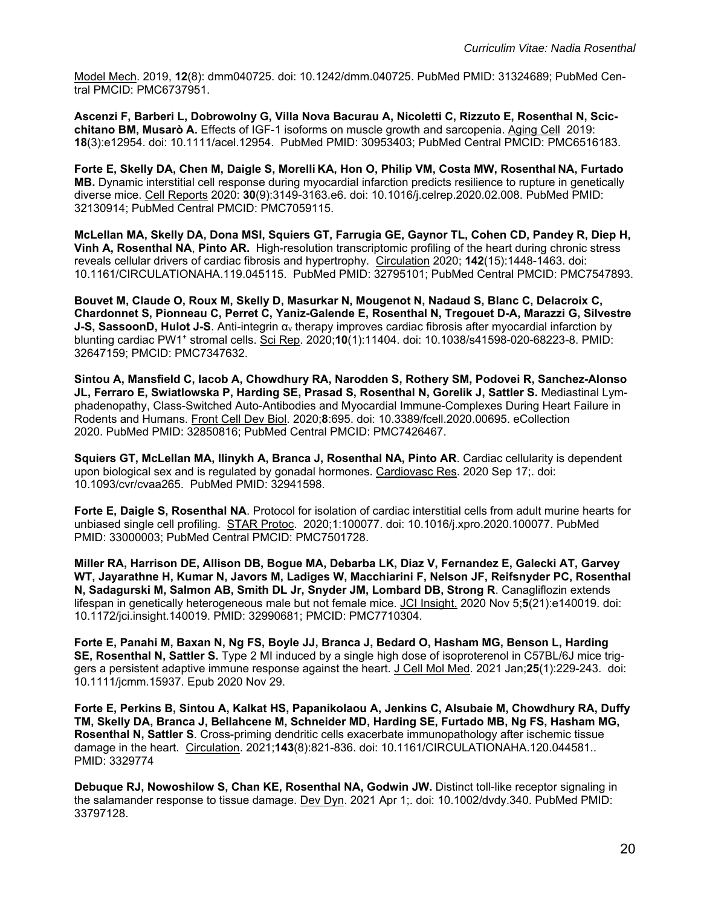Model Mech. 2019, **12**(8): dmm040725. doi: 10.1242/dmm.040725. PubMed PMID: 31324689; PubMed Central PMCID: PMC6737951.

**Ascenzi F, Barberi L, Dobrowolny G, Villa Nova Bacurau A, Nicoletti C, Rizzuto E, Rosenthal N, Scicchitano BM, Musarò A.** Effects of IGF-1 isoforms on muscle growth and sarcopenia. Aging Cell 2019: **18**(3):e12954. doi: 10.1111/acel.12954. PubMed PMID: 30953403; PubMed Central PMCID: PMC6516183.

**Forte E, Skelly DA, Chen M, Daigle S, Morelli KA, Hon O, Philip VM, Costa MW, Rosenthal NA, Furtado MB.** Dynamic interstitial cell response during myocardial infarction predicts resilience to rupture in genetically diverse mice. Cell Reports 2020: **30**(9):3149-3163.e6. doi: 10.1016/j.celrep.2020.02.008. PubMed PMID: 32130914; PubMed Central PMCID: PMC7059115.

**McLellan MA, Skelly DA, Dona MSI, Squiers GT, Farrugia GE, Gaynor TL, Cohen CD, Pandey R, Diep H, Vinh A, Rosenthal NA**, **Pinto AR.** High-resolution transcriptomic profiling of the heart during chronic stress reveals cellular drivers of cardiac fibrosis and hypertrophy. Circulation 2020; **142**(15):1448-1463. doi: 10.1161/CIRCULATIONAHA.119.045115. PubMed PMID: 32795101; PubMed Central PMCID: PMC7547893.

**Bouvet M, Claude O, Roux M, Skelly D, Masurkar N, Mougenot N, Nadaud S, Blanc C, Delacroix C, Chardonnet S, Pionneau C, Perret C, Yaniz-Galende E, Rosenthal N, Tregouet D-A, Marazzi G, Silvestre J-S, SassoonD, Hulot J-S**. Anti-integrin α<sub>ν</sub> therapy improves cardiac fibrosis after myocardial infarction by blunting cardiac PW1+ stromal cells. Sci Rep. 2020;**10**(1):11404. doi: 10.1038/s41598-020-68223-8. PMID: 32647159; PMCID: PMC7347632.

**Sintou A, Mansfield C, Iacob A, Chowdhury RA, Narodden S, Rothery SM, Podovei R, Sanchez-Alonso JL, Ferraro E, Swiatlowska P, Harding SE, Prasad S, Rosenthal N, Gorelik J, Sattler S.** Mediastinal Lymphadenopathy, Class-Switched Auto-Antibodies and Myocardial Immune-Complexes During Heart Failure in Rodents and Humans. Front Cell Dev Biol. 2020;**8**:695. doi: 10.3389/fcell.2020.00695. eCollection 2020. PubMed PMID: 32850816; PubMed Central PMCID: PMC7426467.

**Squiers GT, McLellan MA, Ilinykh A, Branca J, Rosenthal NA, Pinto AR**. Cardiac cellularity is dependent upon biological sex and is regulated by gonadal hormones. Cardiovasc Res. 2020 Sep 17;. doi: 10.1093/cvr/cvaa265. PubMed PMID: 32941598.

**Forte E, Daigle S, Rosenthal NA**. Protocol for isolation of cardiac interstitial cells from adult murine hearts for unbiased single cell profiling. STAR Protoc. 2020;1:100077. doi: 10.1016/j.xpro.2020.100077. PubMed PMID: 33000003; PubMed Central PMCID: PMC7501728.

**Miller RA, Harrison DE, Allison DB, Bogue MA, Debarba LK, Diaz V, Fernandez E, Galecki AT, Garvey WT, Jayarathne H, Kumar N, Javors M, Ladiges W, Macchiarini F, Nelson JF, Reifsnyder PC, Rosenthal N, Sadagurski M, Salmon AB, Smith DL Jr, Snyder JM, Lombard DB, Strong R**. Canagliflozin extends lifespan in genetically heterogeneous male but not female mice. JCI Insight. 2020 Nov 5;**5**(21):e140019. doi: 10.1172/jci.insight.140019. PMID: 32990681; PMCID: PMC7710304.

**Forte E, Panahi M, Baxan N, Ng FS, Boyle JJ, Branca J, Bedard O, Hasham MG, Benson L, Harding SE, Rosenthal N, Sattler S.** Type 2 MI induced by a single high dose of isoproterenol in C57BL/6J mice triggers a persistent adaptive immune response against the heart. J Cell Mol Med. 2021 Jan;**25**(1):229-243. doi: 10.1111/jcmm.15937. Epub 2020 Nov 29.

**Forte E, Perkins B, Sintou A, Kalkat HS, Papanikolaou A, Jenkins C, Alsubaie M, Chowdhury RA, Duffy TM, Skelly DA, Branca J, Bellahcene M, Schneider MD, Harding SE, Furtado MB, Ng FS, Hasham MG, Rosenthal N, Sattler S**. Cross-priming dendritic cells exacerbate immunopathology after ischemic tissue damage in the heart. Circulation. 2021;**143**(8):821-836. doi: 10.1161/CIRCULATIONAHA.120.044581.. PMID: 3329774

**Debuque RJ, Nowoshilow S, Chan KE, Rosenthal NA, Godwin JW.** Distinct toll-like receptor signaling in the salamander response to tissue damage. Dev Dyn. 2021 Apr 1;. doi: 10.1002/dvdy.340. PubMed PMID: 33797128.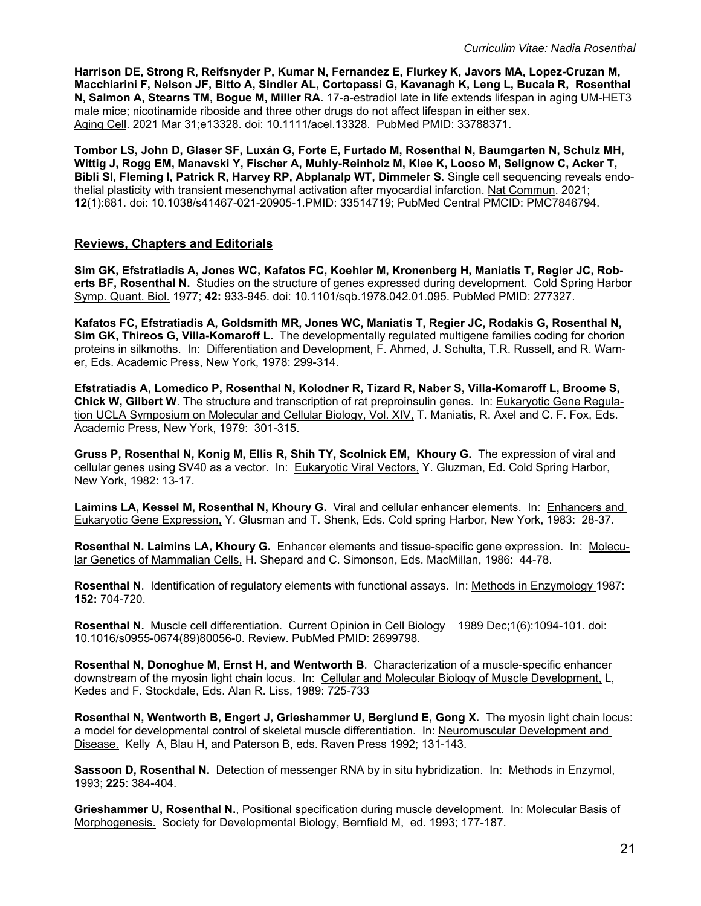**Harrison DE, Strong R, Reifsnyder P, Kumar N, Fernandez E, Flurkey K, Javors MA, Lopez-Cruzan M, Macchiarini F, Nelson JF, Bitto A, Sindler AL, Cortopassi G, Kavanagh K, Leng L, Bucala R, Rosenthal N, Salmon A, Stearns TM, Bogue M, Miller RA**. 17-a-estradiol late in life extends lifespan in aging UM-HET3 male mice; nicotinamide riboside and three other drugs do not affect lifespan in either sex. Aging Cell. 2021 Mar 31;e13328. doi: 10.1111/acel.13328. PubMed PMID: 33788371.

**Tombor LS, John D, Glaser SF, Luxán G, Forte E, Furtado M, Rosenthal N, Baumgarten N, Schulz MH, Wittig J, Rogg EM, Manavski Y, Fischer A, Muhly-Reinholz M, Klee K, Looso M, Selignow C, Acker T, Bibli SI, Fleming I, Patrick R, Harvey RP, Abplanalp WT, Dimmeler S**. Single cell sequencing reveals endothelial plasticity with transient mesenchymal activation after myocardial infarction. Nat Commun. 2021; **12**(1):681. doi: 10.1038/s41467-021-20905-1.PMID: 33514719; PubMed Central PMCID: PMC7846794.

### **Reviews, Chapters and Editorials**

**Sim GK, Efstratiadis A, Jones WC, Kafatos FC, Koehler M, Kronenberg H, Maniatis T, Regier JC, Roberts BF, Rosenthal N.** Studies on the structure of genes expressed during development. Cold Spring Harbor Symp. Quant. Biol. 1977; **42:** 933-945. doi: 10.1101/sqb.1978.042.01.095. PubMed PMID: 277327.

**Kafatos FC, Efstratiadis A, Goldsmith MR, Jones WC, Maniatis T, Regier JC, Rodakis G, Rosenthal N, Sim GK, Thireos G, Villa-Komaroff L.** The developmentally regulated multigene families coding for chorion proteins in silkmoths. In: Differentiation and Development, F. Ahmed, J. Schulta, T.R. Russell, and R. Warner, Eds. Academic Press, New York, 1978: 299-314.

**Efstratiadis A, Lomedico P, Rosenthal N, Kolodner R, Tizard R, Naber S, Villa-Komaroff L, Broome S, Chick W, Gilbert W**. The structure and transcription of rat preproinsulin genes. In: Eukaryotic Gene Regulation UCLA Symposium on Molecular and Cellular Biology, Vol. XIV, T. Maniatis, R. Axel and C. F. Fox, Eds. Academic Press, New York, 1979: 301-315.

**Gruss P, Rosenthal N, Konig M, Ellis R, Shih TY, Scolnick EM, Khoury G.** The expression of viral and cellular genes using SV40 as a vector. In: Eukaryotic Viral Vectors, Y. Gluzman, Ed. Cold Spring Harbor, New York, 1982: 13-17.

**Laimins LA, Kessel M, Rosenthal N, Khoury G.** Viral and cellular enhancer elements. In: Enhancers and Eukaryotic Gene Expression, Y. Glusman and T. Shenk, Eds. Cold spring Harbor, New York, 1983: 28-37.

**Rosenthal N. Laimins LA, Khoury G.** Enhancer elements and tissue-specific gene expression. In: Molecular Genetics of Mammalian Cells, H. Shepard and C. Simonson, Eds. MacMillan, 1986: 44-78.

**Rosenthal N**. Identification of regulatory elements with functional assays. In: Methods in Enzymology 1987: **152:** 704-720.

**Rosenthal N.** Muscle cell differentiation. Current Opinion in Cell Biology 1989 Dec;1(6):1094-101. doi: 10.1016/s0955-0674(89)80056-0. Review. PubMed PMID: 2699798.

**Rosenthal N, Donoghue M, Ernst H, and Wentworth B**. Characterization of a muscle-specific enhancer downstream of the myosin light chain locus. In: Cellular and Molecular Biology of Muscle Development, L, Kedes and F. Stockdale, Eds. Alan R. Liss, 1989: 725-733

**Rosenthal N, Wentworth B, Engert J, Grieshammer U, Berglund E, Gong X.** The myosin light chain locus: a model for developmental control of skeletal muscle differentiation. In: Neuromuscular Development and Disease. Kelly A, Blau H, and Paterson B, eds. Raven Press 1992; 131-143.

**Sassoon D, Rosenthal N.** Detection of messenger RNA by in situ hybridization. In: Methods in Enzymol, 1993; **225**: 384-404.

**Grieshammer U, Rosenthal N.**, Positional specification during muscle development. In: Molecular Basis of Morphogenesis. Society for Developmental Biology, Bernfield M, ed. 1993; 177-187.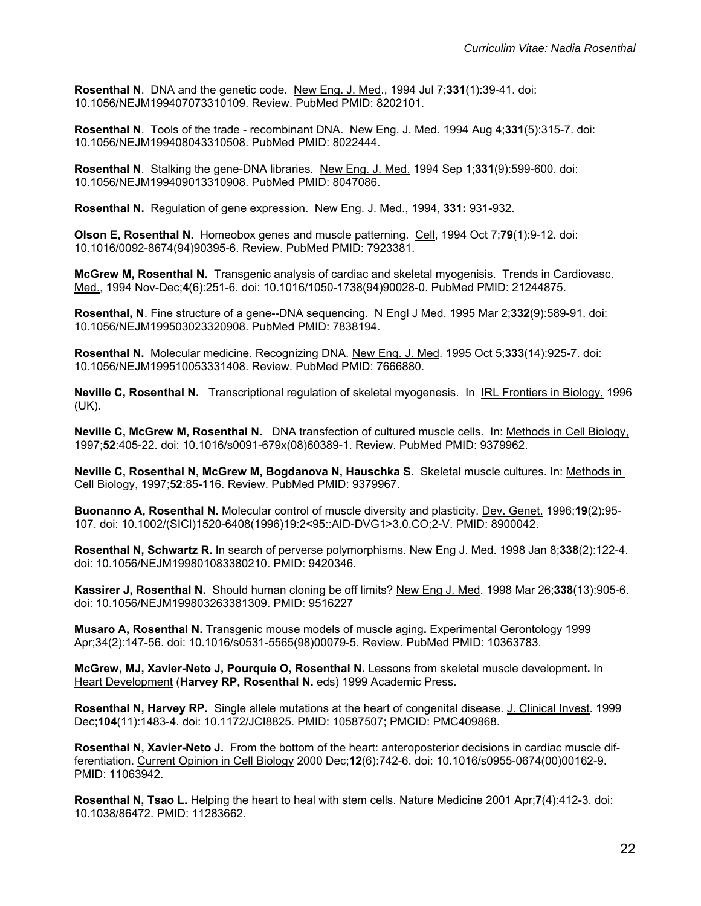**Rosenthal N**. DNA and the genetic code. New Eng. J. Med., 1994 Jul 7;**331**(1):39-41. doi: 10.1056/NEJM199407073310109. Review. PubMed PMID: 8202101.

**Rosenthal N**. Tools of the trade - recombinant DNA. New Eng. J. Med. 1994 Aug 4;**331**(5):315-7. doi: 10.1056/NEJM199408043310508. PubMed PMID: 8022444.

**Rosenthal N**. Stalking the gene-DNA libraries. New Eng. J. Med. 1994 Sep 1;**331**(9):599-600. doi: 10.1056/NEJM199409013310908. PubMed PMID: 8047086.

**Rosenthal N.** Regulation of gene expression. New Eng. J. Med., 1994, **331:** 931-932.

**Olson E, Rosenthal N.** Homeobox genes and muscle patterning. Cell, 1994 Oct 7;**79**(1):9-12. doi: 10.1016/0092-8674(94)90395-6. Review. PubMed PMID: 7923381.

**McGrew M, Rosenthal N.** Transgenic analysis of cardiac and skeletal myogenisis. Trends in Cardiovasc. Med., 1994 Nov-Dec;**4**(6):251-6. doi: 10.1016/1050-1738(94)90028-0. PubMed PMID: 21244875.

**Rosenthal, N**. Fine structure of a gene--DNA sequencing. N Engl J Med. 1995 Mar 2;**332**(9):589-91. doi: 10.1056/NEJM199503023320908. PubMed PMID: 7838194.

**Rosenthal N.** Molecular medicine. Recognizing DNA. New Eng. J. Med. 1995 Oct 5;**333**(14):925-7. doi: 10.1056/NEJM199510053331408. Review. PubMed PMID: 7666880.

**Neville C, Rosenthal N.** Transcriptional regulation of skeletal myogenesis. In IRL Frontiers in Biology, 1996 (UK).

**Neville C, McGrew M, Rosenthal N.** DNA transfection of cultured muscle cells. In: Methods in Cell Biology, 1997;**52**:405-22. doi: 10.1016/s0091-679x(08)60389-1. Review. PubMed PMID: 9379962.

**Neville C, Rosenthal N, McGrew M, Bogdanova N, Hauschka S.** Skeletal muscle cultures. In: Methods in Cell Biology, 1997;**52**:85-116. Review. PubMed PMID: 9379967.

**Buonanno A, Rosenthal N.** Molecular control of muscle diversity and plasticity. Dev. Genet. 1996;**19**(2):95- 107. doi: 10.1002/(SICI)1520-6408(1996)19:2<95::AID-DVG1>3.0.CO;2-V. PMID: 8900042.

**Rosenthal N, Schwartz R.** In search of perverse polymorphisms. New Eng J. Med. 1998 Jan 8;**338**(2):122-4. doi: 10.1056/NEJM199801083380210. PMID: 9420346.

**Kassirer J, Rosenthal N.** Should human cloning be off limits? New Eng J. Med. 1998 Mar 26;**338**(13):905-6. doi: 10.1056/NEJM199803263381309. PMID: 9516227

**Musaro A, Rosenthal N.** Transgenic mouse models of muscle aging**.** Experimental Gerontology 1999 Apr;34(2):147-56. doi: 10.1016/s0531-5565(98)00079-5. Review. PubMed PMID: 10363783.

**McGrew, MJ, Xavier-Neto J, Pourquie O, Rosenthal N.** Lessons from skeletal muscle development**.** In Heart Development (**Harvey RP, Rosenthal N.** eds) 1999 Academic Press.

**Rosenthal N, Harvey RP.** Single allele mutations at the heart of congenital disease. J. Clinical Invest. 1999 Dec;**104**(11):1483-4. doi: 10.1172/JCI8825. PMID: 10587507; PMCID: PMC409868.

**Rosenthal N, Xavier-Neto J.** From the bottom of the heart: anteroposterior decisions in cardiac muscle differentiation. Current Opinion in Cell Biology 2000 Dec;**12**(6):742-6. doi: 10.1016/s0955-0674(00)00162-9. PMID: 11063942.

**Rosenthal N, Tsao L.** Helping the heart to heal with stem cells. Nature Medicine 2001 Apr;**7**(4):412-3. doi: 10.1038/86472. PMID: 11283662.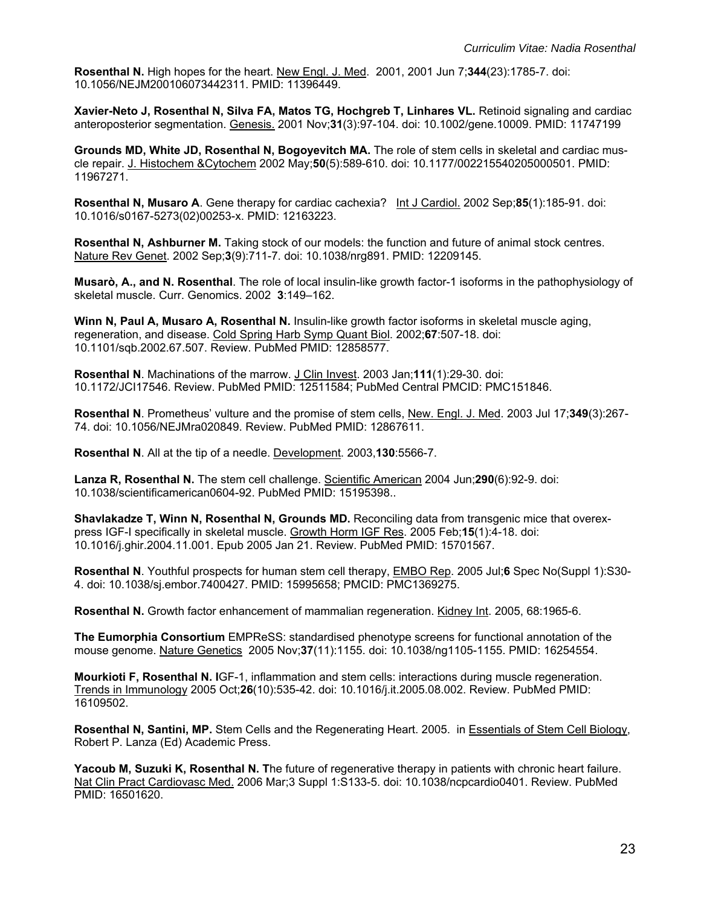**Rosenthal N.** High hopes for the heart. New Engl. J. Med. 2001, 2001 Jun 7;**344**(23):1785-7. doi: 10.1056/NEJM200106073442311. PMID: 11396449.

**Xavier-Neto J, Rosenthal N, Silva FA, Matos TG, Hochgreb T, Linhares VL.** Retinoid signaling and cardiac anteroposterior segmentation. Genesis. 2001 Nov;**31**(3):97-104. doi: 10.1002/gene.10009. PMID: 11747199

**Grounds MD, White JD, Rosenthal N, Bogoyevitch MA.** The role of stem cells in skeletal and cardiac muscle repair. J. Histochem &Cytochem 2002 May;**50**(5):589-610. doi: 10.1177/002215540205000501. PMID: 11967271.

**Rosenthal N, Musaro A**. Gene therapy for cardiac cachexia? Int J Cardiol. 2002 Sep;**85**(1):185-91. doi: 10.1016/s0167-5273(02)00253-x. PMID: 12163223.

**Rosenthal N, Ashburner M.** Taking stock of our models: the function and future of animal stock centres. Nature Rev Genet. 2002 Sep;**3**(9):711-7. doi: 10.1038/nrg891. PMID: 12209145.

**Musarò, A., and N. Rosenthal**. The role of local insulin-like growth factor-1 isoforms in the pathophysiology of skeletal muscle. Curr. Genomics. 2002**3**:149–162.

**Winn N, Paul A, Musaro A, Rosenthal N.** Insulin-like growth factor isoforms in skeletal muscle aging, regeneration, and disease. Cold Spring Harb Symp Quant Biol. 2002;**67**:507-18. doi: 10.1101/sqb.2002.67.507. Review. PubMed PMID: 12858577.

**Rosenthal N**. Machinations of the marrow. J Clin Invest. 2003 Jan;**111**(1):29-30. doi: 10.1172/JCI17546. Review. PubMed PMID: 12511584; PubMed Central PMCID: PMC151846.

**Rosenthal N**. Prometheus' vulture and the promise of stem cells, New. Engl. J. Med. 2003 Jul 17;**349**(3):267- 74. doi: 10.1056/NEJMra020849. Review. PubMed PMID: 12867611.

**Rosenthal N**. All at the tip of a needle. Development. 2003,**130**:5566-7.

**Lanza R, Rosenthal N.** The stem cell challenge. Scientific American 2004 Jun;**290**(6):92-9. doi: 10.1038/scientificamerican0604-92. PubMed PMID: 15195398..

**Shavlakadze T, Winn N, Rosenthal N, Grounds MD.** Reconciling data from transgenic mice that overexpress IGF-I specifically in skeletal muscle. Growth Horm IGF Res. 2005 Feb;**15**(1):4-18. doi: 10.1016/j.ghir.2004.11.001. Epub 2005 Jan 21. Review. PubMed PMID: 15701567.

**Rosenthal N**. Youthful prospects for human stem cell therapy, EMBO Rep. 2005 Jul;**6** Spec No(Suppl 1):S30- 4. doi: 10.1038/sj.embor.7400427. PMID: 15995658; PMCID: PMC1369275.

**Rosenthal N.** Growth factor enhancement of mammalian regeneration. Kidney Int. 2005, 68:1965-6.

**The Eumorphia Consortium** EMPReSS: standardised phenotype screens for functional annotation of the mouse genome. Nature Genetics 2005 Nov;**37**(11):1155. doi: 10.1038/ng1105-1155. PMID: 16254554.

**Mourkioti F, Rosenthal N. I**GF-1, inflammation and stem cells: interactions during muscle regeneration. Trends in Immunology 2005 Oct;**26**(10):535-42. doi: 10.1016/j.it.2005.08.002. Review. PubMed PMID: 16109502.

**Rosenthal N, Santini, MP.** Stem Cells and the Regenerating Heart. 2005. in Essentials of Stem Cell Biology, Robert P. Lanza (Ed) Academic Press.

**Yacoub M, Suzuki K, Rosenthal N. T**he future of regenerative therapy in patients with chronic heart failure. Nat Clin Pract Cardiovasc Med. 2006 Mar;3 Suppl 1:S133-5. doi: 10.1038/ncpcardio0401. Review. PubMed PMID: 16501620.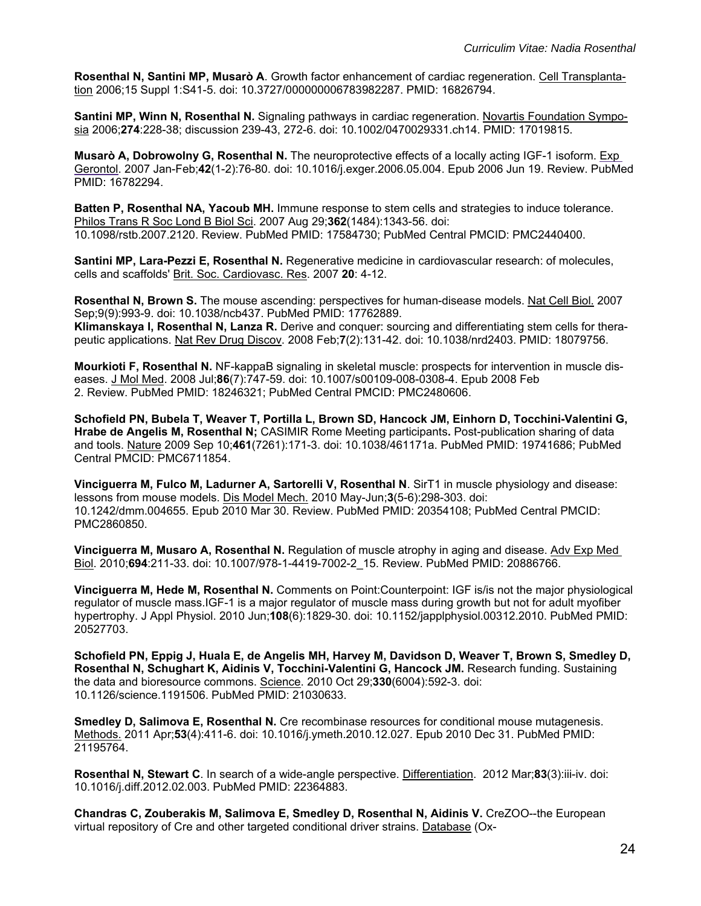**Rosenthal N, Santini MP, Musarò A**. Growth factor enhancement of cardiac regeneration. Cell Transplantation 2006;15 Suppl 1:S41-5. doi: 10.3727/000000006783982287. PMID: 16826794.

**Santini MP, Winn N, Rosenthal N.** Signaling pathways in cardiac regeneration. Novartis Foundation Symposia 2006;**274**:228-38; discussion 239-43, 272-6. doi: 10.1002/0470029331.ch14. PMID: 17019815.

**Musarò A, Dobrowolny G, Rosenthal N.** The neuroprotective effects of a locally acting IGF-1 isoform. Exp Gerontol. 2007 Jan-Feb;**42**(1-2):76-80. doi: 10.1016/j.exger.2006.05.004. Epub 2006 Jun 19. Review. PubMed PMID: 16782294.

**Batten P, Rosenthal NA, Yacoub MH.** Immune response to stem cells and strategies to induce tolerance. Philos Trans R Soc Lond B Biol Sci. 2007 Aug 29;**362**(1484):1343-56. doi: 10.1098/rstb.2007.2120. Review. PubMed PMID: 17584730; PubMed Central PMCID: PMC2440400.

**Santini MP, Lara-Pezzi E, Rosenthal N.** Regenerative medicine in cardiovascular research: of molecules, cells and scaffolds' Brit. Soc. Cardiovasc. Res. 2007 **20**: 4-12.

**Rosenthal N, Brown S.** The mouse ascending: perspectives for human-disease models. Nat Cell Biol. 2007 Sep;9(9):993-9. doi: 10.1038/ncb437. PubMed PMID: 17762889. **Klimanskaya I, Rosenthal N, Lanza R.** Derive and conquer: sourcing and differentiating stem cells for therapeutic applications. Nat Rev Drug Discov. 2008 Feb;**7**(2):131-42. doi: 10.1038/nrd2403. PMID: 18079756.

**Mourkioti F, Rosenthal N.** NF-kappaB signaling in skeletal muscle: prospects for intervention in muscle diseases. J Mol Med. 2008 Jul;**86**(7):747-59. doi: 10.1007/s00109-008-0308-4. Epub 2008 Feb 2. Review. PubMed PMID: 18246321; PubMed Central PMCID: PMC2480606.

**Schofield PN, Bubela T, Weaver T, Portilla L, Brown SD, Hancock JM, Einhorn D, Tocchini-Valentini G, Hrabe de Angelis M, Rosenthal N;** CASIMIR Rome Meeting participants**.** Post-publication sharing of data and tools. Nature 2009 Sep 10;**461**(7261):171-3. doi: 10.1038/461171a. PubMed PMID: 19741686; PubMed Central PMCID: PMC6711854.

**Vinciguerra M, Fulco M, Ladurner A, Sartorelli V, Rosenthal N**. SirT1 in muscle physiology and disease: lessons from mouse models. Dis Model Mech. 2010 May-Jun;**3**(5-6):298-303. doi: 10.1242/dmm.004655. Epub 2010 Mar 30. Review. PubMed PMID: 20354108; PubMed Central PMCID: PMC2860850.

**Vinciguerra M, Musaro A, Rosenthal N.** Regulation of muscle atrophy in aging and disease. Adv Exp Med Biol. 2010;**694**:211-33. doi: 10.1007/978-1-4419-7002-2\_15. Review. PubMed PMID: 20886766.

**Vinciguerra M, Hede M, Rosenthal N.** Comments on Point:Counterpoint: IGF is/is not the major physiological regulator of muscle mass.IGF-1 is a major regulator of muscle mass during growth but not for adult myofiber hypertrophy. J Appl Physiol. 2010 Jun;**108**(6):1829-30. doi: 10.1152/japplphysiol.00312.2010. PubMed PMID: 20527703.

**Schofield PN, Eppig J, Huala E, de Angelis MH, Harvey M, Davidson D, Weaver T, Brown S, Smedley D, Rosenthal N, Schughart K, Aidinis V, Tocchini-Valentini G, Hancock JM.** Research funding. Sustaining the data and bioresource commons. Science. 2010 Oct 29;**330**(6004):592-3. doi: 10.1126/science.1191506. PubMed PMID: 21030633.

**Smedley D, Salimova E, Rosenthal N.** Cre recombinase resources for conditional mouse mutagenesis. Methods. 2011 Apr;**53**(4):411-6. doi: 10.1016/j.ymeth.2010.12.027. Epub 2010 Dec 31. PubMed PMID: 21195764.

**Rosenthal N, Stewart C**. In search of a wide-angle perspective. Differentiation. 2012 Mar;**83**(3):iii-iv. doi: 10.1016/j.diff.2012.02.003. PubMed PMID: 22364883.

**Chandras C, Zouberakis M, Salimova E, Smedley D, Rosenthal N, Aidinis V.** CreZOO--the European virtual repository of Cre and other targeted conditional driver strains. Database (Ox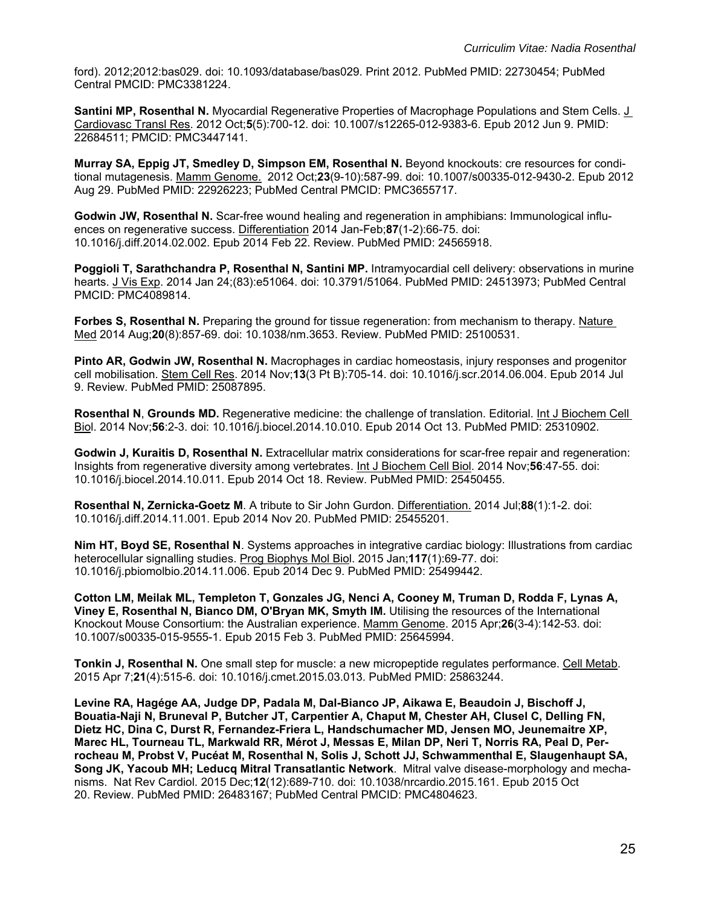ford). 2012;2012:bas029. doi: 10.1093/database/bas029. Print 2012. PubMed PMID: 22730454; PubMed Central PMCID: PMC3381224.

**Santini MP, Rosenthal N.** Myocardial Regenerative Properties of Macrophage Populations and Stem Cells. J Cardiovasc Transl Res. 2012 Oct;**5**(5):700-12. doi: 10.1007/s12265-012-9383-6. Epub 2012 Jun 9. PMID: 22684511; PMCID: PMC3447141.

**Murray SA, Eppig JT, Smedley D, Simpson EM, Rosenthal N.** Beyond knockouts: cre resources for conditional mutagenesis. Mamm Genome. 2012 Oct;**23**(9-10):587-99. doi: 10.1007/s00335-012-9430-2. Epub 2012 Aug 29. PubMed PMID: 22926223; PubMed Central PMCID: PMC3655717.

**Godwin JW, Rosenthal N.** Scar-free wound healing and regeneration in amphibians: Immunological influences on regenerative success. Differentiation 2014 Jan-Feb;**87**(1-2):66-75. doi: 10.1016/j.diff.2014.02.002. Epub 2014 Feb 22. Review. PubMed PMID: 24565918.

**Poggioli T, Sarathchandra P, Rosenthal N, Santini MP.** Intramyocardial cell delivery: observations in murine hearts. J Vis Exp. 2014 Jan 24;(83):e51064. doi: 10.3791/51064. PubMed PMID: 24513973; PubMed Central PMCID: PMC4089814.

**Forbes S, Rosenthal N.** Preparing the ground for tissue regeneration: from mechanism to therapy. Nature Med 2014 Aug;**20**(8):857-69. doi: 10.1038/nm.3653. Review. PubMed PMID: 25100531.

**Pinto AR, Godwin JW, Rosenthal N.** Macrophages in cardiac homeostasis, injury responses and progenitor cell mobilisation. Stem Cell Res. 2014 Nov;**13**(3 Pt B):705-14. doi: 10.1016/j.scr.2014.06.004. Epub 2014 Jul 9. Review. PubMed PMID: 25087895.

**Rosenthal N**, **Grounds MD.** Regenerative medicine: the challenge of translation. Editorial. Int J Biochem Cell Biol. 2014 Nov;**56**:2-3. doi: 10.1016/j.biocel.2014.10.010. Epub 2014 Oct 13. PubMed PMID: 25310902.

**Godwin J, Kuraitis D, Rosenthal N.** Extracellular matrix considerations for scar-free repair and regeneration: Insights from regenerative diversity among vertebrates. Int J Biochem Cell Biol. 2014 Nov;**56**:47-55. doi: 10.1016/j.biocel.2014.10.011. Epub 2014 Oct 18. Review. PubMed PMID: 25450455.

**Rosenthal N, Zernicka-Goetz M**. A tribute to Sir John Gurdon. Differentiation. 2014 Jul;**88**(1):1-2. doi: 10.1016/j.diff.2014.11.001. Epub 2014 Nov 20. PubMed PMID: 25455201.

**Nim HT, Boyd SE, Rosenthal N**. Systems approaches in integrative cardiac biology: Illustrations from cardiac heterocellular signalling studies. Prog Biophys Mol Biol. 2015 Jan;**117**(1):69-77. doi: 10.1016/j.pbiomolbio.2014.11.006. Epub 2014 Dec 9. PubMed PMID: 25499442.

**Cotton LM, Meilak ML, Templeton T, Gonzales JG, Nenci A, Cooney M, Truman D, Rodda F, Lynas A, Viney E, Rosenthal N, Bianco DM, O'Bryan MK, Smyth IM.** Utilising the resources of the International Knockout Mouse Consortium: the Australian experience. Mamm Genome. 2015 Apr;**26**(3-4):142-53. doi: 10.1007/s00335-015-9555-1. Epub 2015 Feb 3. PubMed PMID: 25645994.

**Tonkin J, Rosenthal N.** One small step for muscle: a new micropeptide regulates performance. Cell Metab. 2015 Apr 7;**21**(4):515-6. doi: 10.1016/j.cmet.2015.03.013. PubMed PMID: 25863244.

**Levine RA, Hagége AA, Judge DP, Padala M, Dal-Bianco JP, Aikawa E, Beaudoin J, Bischoff J, Bouatia-Naji N, Bruneval P, Butcher JT, Carpentier A, Chaput M, Chester AH, Clusel C, Delling FN, Dietz HC, Dina C, Durst R, Fernandez-Friera L, Handschumacher MD, Jensen MO, Jeunemaitre XP, Marec HL, Tourneau TL, Markwald RR, Mérot J, Messas E, Milan DP, Neri T, Norris RA, Peal D, Perrocheau M, Probst V, Pucéat M, Rosenthal N, Solis J, Schott JJ, Schwammenthal E, Slaugenhaupt SA, Song JK, Yacoub MH; Leducq Mitral Transatlantic Network**. Mitral valve disease-morphology and mechanisms. Nat Rev Cardiol. 2015 Dec;**12**(12):689-710. doi: 10.1038/nrcardio.2015.161. Epub 2015 Oct 20. Review. PubMed PMID: 26483167; PubMed Central PMCID: PMC4804623.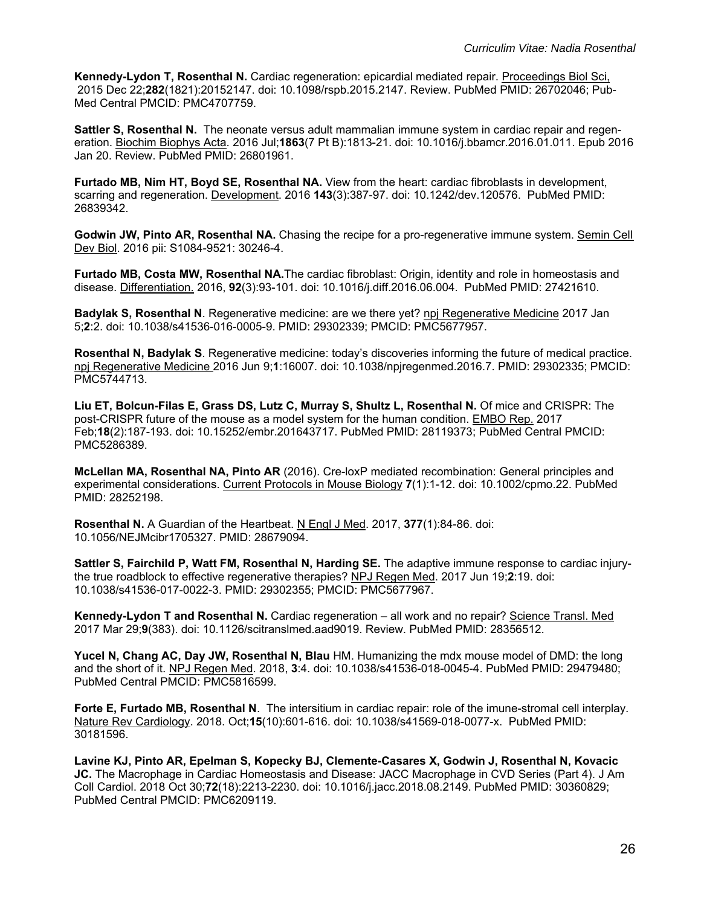**Kennedy-Lydon T, Rosenthal N.** Cardiac regeneration: epicardial mediated repair. Proceedings Biol Sci, 2015 Dec 22;**282**(1821):20152147. doi: 10.1098/rspb.2015.2147. Review. PubMed PMID: 26702046; Pub-Med Central PMCID: PMC4707759.

**Sattler S, Rosenthal N.** The neonate versus adult mammalian immune system in cardiac repair and regeneration. Biochim Biophys Acta. 2016 Jul;**1863**(7 Pt B):1813-21. doi: 10.1016/j.bbamcr.2016.01.011. Epub 2016 Jan 20. Review. PubMed PMID: 26801961.

**Furtado MB, Nim HT, Boyd SE, Rosenthal NA.** View from the heart: cardiac fibroblasts in development, scarring and regeneration. Development. 2016 **143**(3):387-97. doi: 10.1242/dev.120576. PubMed PMID: 26839342.

**Godwin JW, Pinto AR, Rosenthal NA.** Chasing the recipe for a pro-regenerative immune system. Semin Cell Dev Biol. 2016 pii: S1084-9521: 30246-4.

**Furtado MB, Costa MW, Rosenthal NA.**The cardiac fibroblast: Origin, identity and role in homeostasis and disease. Differentiation. 2016, **92**(3):93-101. doi: 10.1016/j.diff.2016.06.004. PubMed PMID: 27421610.

**Badylak S, Rosenthal N**. Regenerative medicine: are we there yet? npj Regenerative Medicine 2017 Jan 5;**2**:2. doi: 10.1038/s41536-016-0005-9. PMID: 29302339; PMCID: PMC5677957.

**Rosenthal N, Badylak S**. Regenerative medicine: today's discoveries informing the future of medical practice. npj Regenerative Medicine 2016 Jun 9;**1**:16007. doi: 10.1038/npjregenmed.2016.7. PMID: 29302335; PMCID: PMC5744713.

**Liu ET, Bolcun-Filas E, Grass DS, Lutz C, Murray S, Shultz L, Rosenthal N.** Of mice and CRISPR: The post-CRISPR future of the mouse as a model system for the human condition. EMBO Rep. 2017 Feb;**18**(2):187-193. doi: 10.15252/embr.201643717. PubMed PMID: 28119373; PubMed Central PMCID: PMC5286389.

**McLellan MA, Rosenthal NA, Pinto AR** (2016). Cre-loxP mediated recombination: General principles and experimental considerations. Current Protocols in Mouse Biology **7**(1):1-12. doi: 10.1002/cpmo.22. PubMed PMID: 28252198.

**Rosenthal N.** A Guardian of the Heartbeat. N Engl J Med. 2017, **377**(1):84-86. doi: 10.1056/NEJMcibr1705327. PMID: 28679094.

**Sattler S, Fairchild P, Watt FM, Rosenthal N, Harding SE.** The adaptive immune response to cardiac injurythe true roadblock to effective regenerative therapies? NPJ Regen Med. 2017 Jun 19;**2**:19. doi: 10.1038/s41536-017-0022-3. PMID: 29302355; PMCID: PMC5677967.

**Kennedy-Lydon T and Rosenthal N.** Cardiac regeneration – all work and no repair? Science Transl. Med 2017 Mar 29;**9**(383). doi: 10.1126/scitranslmed.aad9019. Review. PubMed PMID: 28356512.

**Yucel N, Chang AC, Day JW, Rosenthal N, Blau** HM. Humanizing the mdx mouse model of DMD: the long and the short of it. NPJ Regen Med. 2018, **3**:4. doi: 10.1038/s41536-018-0045-4. PubMed PMID: 29479480; PubMed Central PMCID: PMC5816599.

**Forte E, Furtado MB, Rosenthal N**. The intersitium in cardiac repair: role of the imune-stromal cell interplay. Nature Rev Cardiology. 2018. Oct;**15**(10):601-616. doi: 10.1038/s41569-018-0077-x. PubMed PMID: 30181596.

**Lavine KJ, Pinto AR, Epelman S, Kopecky BJ, Clemente-Casares X, Godwin J, Rosenthal N, Kovacic JC.** The Macrophage in Cardiac Homeostasis and Disease: JACC Macrophage in CVD Series (Part 4). J Am Coll Cardiol. 2018 Oct 30;**72**(18):2213-2230. doi: 10.1016/j.jacc.2018.08.2149. PubMed PMID: 30360829; PubMed Central PMCID: PMC6209119.